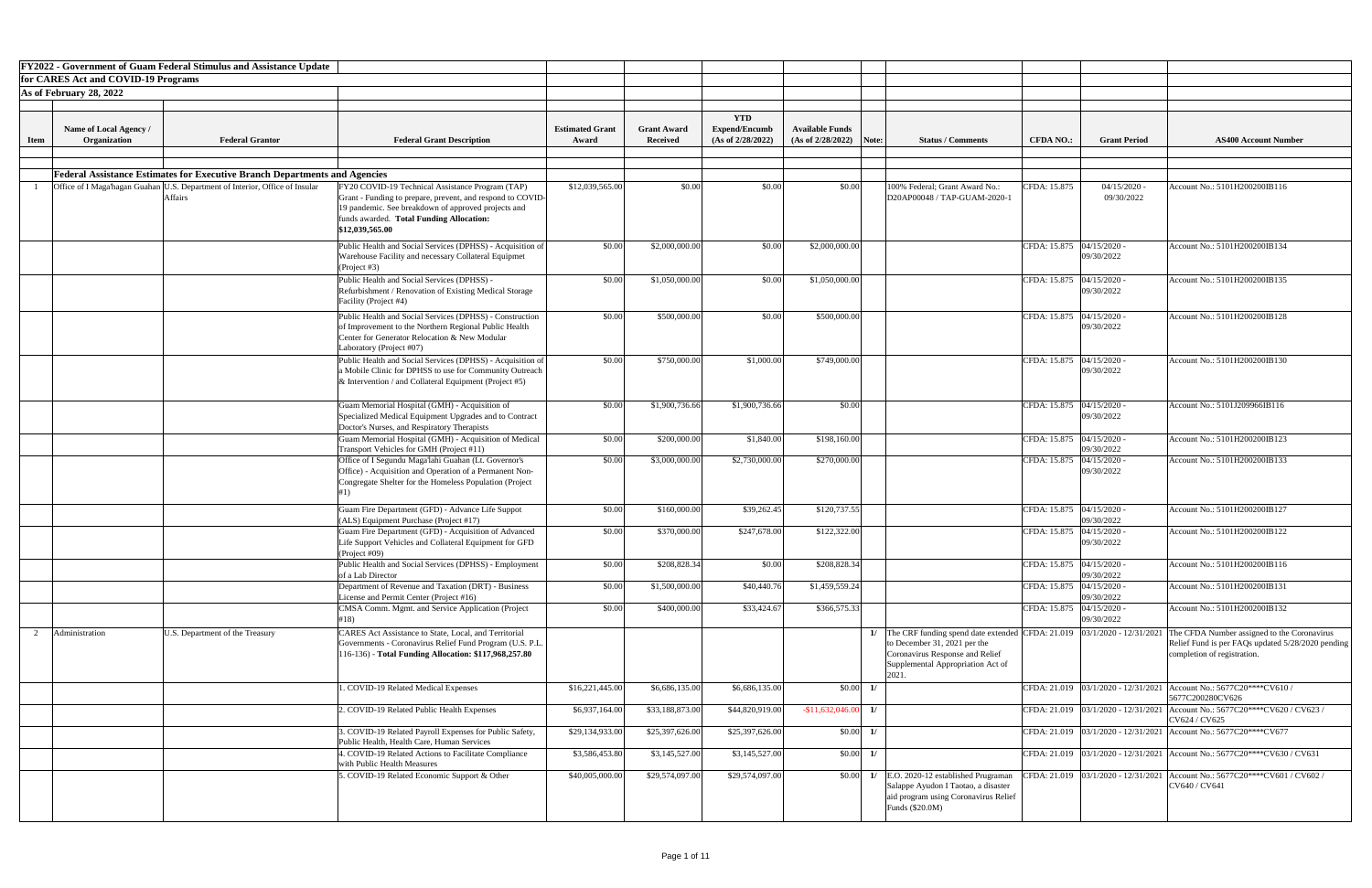|             |                                        | <b>FY2022 - Government of Guam Federal Stimulus and Assistance Update</b>                      |                                                                                                                                                                                                                                      |                                 |                                       |                                                         |                                                     |                                                                                                                                                                                              |                             |                              |                                                                                                                                 |
|-------------|----------------------------------------|------------------------------------------------------------------------------------------------|--------------------------------------------------------------------------------------------------------------------------------------------------------------------------------------------------------------------------------------|---------------------------------|---------------------------------------|---------------------------------------------------------|-----------------------------------------------------|----------------------------------------------------------------------------------------------------------------------------------------------------------------------------------------------|-----------------------------|------------------------------|---------------------------------------------------------------------------------------------------------------------------------|
|             | for CARES Act and COVID-19 Programs    |                                                                                                |                                                                                                                                                                                                                                      |                                 |                                       |                                                         |                                                     |                                                                                                                                                                                              |                             |                              |                                                                                                                                 |
|             | As of February 28, 2022                |                                                                                                |                                                                                                                                                                                                                                      |                                 |                                       |                                                         |                                                     |                                                                                                                                                                                              |                             |                              |                                                                                                                                 |
| <b>Item</b> | Name of Local Agency /<br>Organization | <b>Federal Grantor</b>                                                                         | <b>Federal Grant Description</b>                                                                                                                                                                                                     | <b>Estimated Grant</b><br>Award | <b>Grant Award</b><br><b>Received</b> | <b>YTD</b><br><b>Expend/Encumb</b><br>(As of 2/28/2022) | <b>Available Funds</b><br>$(As of 2/28/2022)$ Note: | <b>Status / Comments</b>                                                                                                                                                                     | <b>CFDA NO.:</b>            | <b>Grant Period</b>          | <b>AS400 Account Number</b>                                                                                                     |
|             |                                        |                                                                                                |                                                                                                                                                                                                                                      |                                 |                                       |                                                         |                                                     |                                                                                                                                                                                              |                             |                              |                                                                                                                                 |
|             |                                        | <b>Federal Assistance Estimates for Executive Branch Departments and Agencies</b>              |                                                                                                                                                                                                                                      |                                 |                                       |                                                         |                                                     |                                                                                                                                                                                              |                             |                              |                                                                                                                                 |
|             |                                        | Office of I Maga'hagan Guahan U.S. Department of Interior, Office of Insular<br><b>Affairs</b> | FY20 COVID-19 Technical Assistance Program (TAP)<br>Grant - Funding to prepare, prevent, and respond to COVID-<br>19 pandemic. See breakdown of approved projects and<br>funds awarded. Total Funding Allocation:<br>\$12,039,565.00 | \$12,039,565.00                 | \$0.00                                | \$0.00                                                  | \$0.00                                              | 100% Federal; Grant Award No.:<br>D20AP00048 / TAP-GUAM-2020-1                                                                                                                               | CFDA: 15.875                | $04/15/2020$ -<br>09/30/2022 | Account No.: 5101H200200IB116                                                                                                   |
|             |                                        |                                                                                                | Public Health and Social Services (DPHSS) - Acquisition of<br>Warehouse Facility and necessary Collateral Equipmet<br>(Project #3)                                                                                                   | \$0.00                          | \$2,000,000.00                        | \$0.00                                                  | \$2,000,000.00                                      |                                                                                                                                                                                              | CFDA: 15.875 04/15/2020 -   | 09/30/2022                   | Account No.: 5101H200200IB134                                                                                                   |
|             |                                        |                                                                                                | Public Health and Social Services (DPHSS) -<br>Refurbishment / Renovation of Existing Medical Storage<br>Facility (Project #4)                                                                                                       | \$0.00                          | \$1,050,000.00                        | \$0.00                                                  | \$1,050,000.00                                      |                                                                                                                                                                                              | CFDA: 15.875   04/15/2020 - | 09/30/2022                   | Account No.: 5101H200200IB135                                                                                                   |
|             |                                        |                                                                                                | Public Health and Social Services (DPHSS) - Construction<br>of Improvement to the Northern Regional Public Health<br>Center for Generator Relocation & New Modular<br>Laboratory (Project #07)                                       | \$0.00                          | \$500,000.00                          | \$0.00                                                  | \$500,000.00                                        |                                                                                                                                                                                              | CFDA: 15.875 04/15/2020 -   | 09/30/2022                   | Account No.: 5101H200200IB128                                                                                                   |
|             |                                        |                                                                                                | Public Health and Social Services (DPHSS) - Acquisition of<br>a Mobile Clinic for DPHSS to use for Community Outreach<br>& Intervention / and Collateral Equipment (Project #5)                                                      | \$0.00                          | \$750,000.00                          | \$1,000.00                                              | \$749,000.00                                        |                                                                                                                                                                                              | CFDA: 15.875 04/15/2020 -   | 09/30/2022                   | Account No.: 5101H200200IB130                                                                                                   |
|             |                                        |                                                                                                | Guam Memorial Hospital (GMH) - Acquisition of<br>Specialized Medical Equipment Upgrades and to Contract<br>Doctor's Nurses, and Respiratory Therapists                                                                               | \$0.00                          | \$1,900,736.66                        | \$1,900,736.66                                          | \$0.00                                              |                                                                                                                                                                                              | CFDA: 15.875 04/15/2020 -   | 09/30/2022                   | Account No.: 5101J209966IB116                                                                                                   |
|             |                                        |                                                                                                | Guam Memorial Hospital (GMH) - Acquisition of Medical<br>Transport Vehicles for GMH (Project #11)                                                                                                                                    | \$0.00                          | \$200,000.00                          | \$1,840.00                                              | \$198,160.00                                        |                                                                                                                                                                                              | CFDA: 15.875   04/15/2020 - | 09/30/2022                   | Account No.: 5101H200200IB123                                                                                                   |
|             |                                        |                                                                                                | Office of I Segundu Maga'lahi Guahan (Lt. Governor's<br>Office) - Acquisition and Operation of a Permanent Non-<br>Congregate Shelter for the Homeless Population (Project                                                           | \$0.00                          | \$3,000,000.00                        | \$2,730,000.00                                          | \$270,000.00                                        |                                                                                                                                                                                              | CFDA: 15.875 04/15/2020 -   | 09/30/2022                   | Account No.: 5101H200200IB133                                                                                                   |
|             |                                        |                                                                                                | Guam Fire Department (GFD) - Advance Life Suppot<br>$\vert$ (ALS) Equipment Purchase (Project #17)                                                                                                                                   | \$0.00                          | \$160,000.00                          | \$39,262.45                                             | \$120,737.55                                        |                                                                                                                                                                                              | CFDA: 15.875 04/15/2020 -   | 09/30/2022                   | Account No.: 5101H200200IB127                                                                                                   |
|             |                                        |                                                                                                | Guam Fire Department (GFD) - Acquisition of Advanced<br>Life Support Vehicles and Collateral Equipment for GFD<br>(Project #09)                                                                                                      | \$0.00                          | \$370,000.00                          | \$247,678.00                                            | \$122,322.00                                        |                                                                                                                                                                                              | CFDA: 15.875 04/15/2020 -   | 09/30/2022                   | Account No.: 5101H200200IB122                                                                                                   |
|             |                                        |                                                                                                | Public Health and Social Services (DPHSS) - Employment<br>of a Lab Director                                                                                                                                                          | \$0.00                          | \$208,828.34                          | \$0.00                                                  | \$208,828.34                                        |                                                                                                                                                                                              | CFDA: 15.875 04/15/2020 -   | 09/30/2022                   | Account No.: 5101H200200IB116                                                                                                   |
|             |                                        |                                                                                                | Department of Revenue and Taxation (DRT) - Business<br>License and Permit Center (Project #16)                                                                                                                                       | \$0.00                          | \$1,500,000.00                        | \$40,440.76                                             | \$1,459,559.24                                      |                                                                                                                                                                                              | CFDA: 15.875   04/15/2020 - | 09/30/2022                   | Account No.: 5101H200200IB131                                                                                                   |
|             |                                        |                                                                                                | CMSA Comm. Mgmt. and Service Application (Project<br>#18)                                                                                                                                                                            | \$0.00                          | \$400,000.00                          | \$33,424.67                                             | \$366,575.33                                        |                                                                                                                                                                                              | CFDA: 15.875 04/15/2020 -   | 09/30/2022                   | Account No.: 5101H200200IB132                                                                                                   |
|             | Administration                         | U.S. Department of the Treasury                                                                | CARES Act Assistance to State, Local, and Territorial<br>Governments - Coronavirus Relief Fund Program (U.S. P.L.<br>16-136) - Total Funding Allocation: \$117,968,257.80                                                            |                                 |                                       |                                                         |                                                     | The CRF funding spend date extended CFDA: $21.019$   03/1/2020 - 12/31/2021<br>to December 31, 2021 per the<br>Coronavirus Response and Relief<br>Supplemental Appropriation Act of<br>2021. |                             |                              | The CFDA Number assigned to the Coronavirus<br>Relief Fund is per FAQs updated 5/28/2020 pending<br>completion of registration. |
|             |                                        |                                                                                                | . COVID-19 Related Medical Expenses                                                                                                                                                                                                  | \$16,221,445.00                 | \$6,686,135.00                        | \$6,686,135.00                                          | \$0.00<br>$\frac{1}{2}$                             |                                                                                                                                                                                              |                             |                              | CFDA: 21.019 03/1/2020 - 12/31/2021 Account No.: 5677C20****CV610/<br>5677C200280CV626                                          |
|             |                                        |                                                                                                | 2. COVID-19 Related Public Health Expenses                                                                                                                                                                                           | \$6,937,164.00                  | \$33,188,873.00                       | \$44,820,919.00                                         | $-$11,632,046.00$<br>1/                             |                                                                                                                                                                                              |                             |                              | CFDA: 21.019   03/1/2020 - 12/31/2021   Account No.: 5677C20****CV620 / CV623 /<br>CV624 / CV625                                |
|             |                                        |                                                                                                | 3. COVID-19 Related Payroll Expenses for Public Safety,<br>Public Health, Health Care, Human Services                                                                                                                                | \$29,134,933.00                 | \$25,397,626.00                       | \$25,397,626.00                                         | \$0.00<br>1/                                        |                                                                                                                                                                                              |                             |                              | CFDA: 21.019 03/1/2020 - 12/31/2021 Account No.: 5677C20****CV677                                                               |
|             |                                        |                                                                                                | 4. COVID-19 Related Actions to Facilitate Compliance<br>with Public Health Measures                                                                                                                                                  | \$3,586,453.80                  | \$3,145,527.00                        | \$3,145,527.00                                          | \$0.00<br>1/                                        |                                                                                                                                                                                              |                             |                              | CFDA: 21.019 $\left  03/1/2020 - 12/31/2021 \right $ Account No.: 5677C20****CV630 / CV631                                      |
|             |                                        |                                                                                                | 5. COVID-19 Related Economic Support & Other                                                                                                                                                                                         | \$40,005,000.00                 | \$29,574,097.00                       | \$29,574,097.00                                         | \$0.00<br>1/                                        | E.O. 2020-12 established Prugraman<br>Salappe Ayudon I Taotao, a disaster<br>aid program using Coronavirus Relief<br>Funds $(\$20.0M)$                                                       |                             |                              | CFDA: 21.019   03/1/2020 - 12/31/2021   Account No.: 5677C20****CV601 / CV602 /<br>CV640 / CV641                                |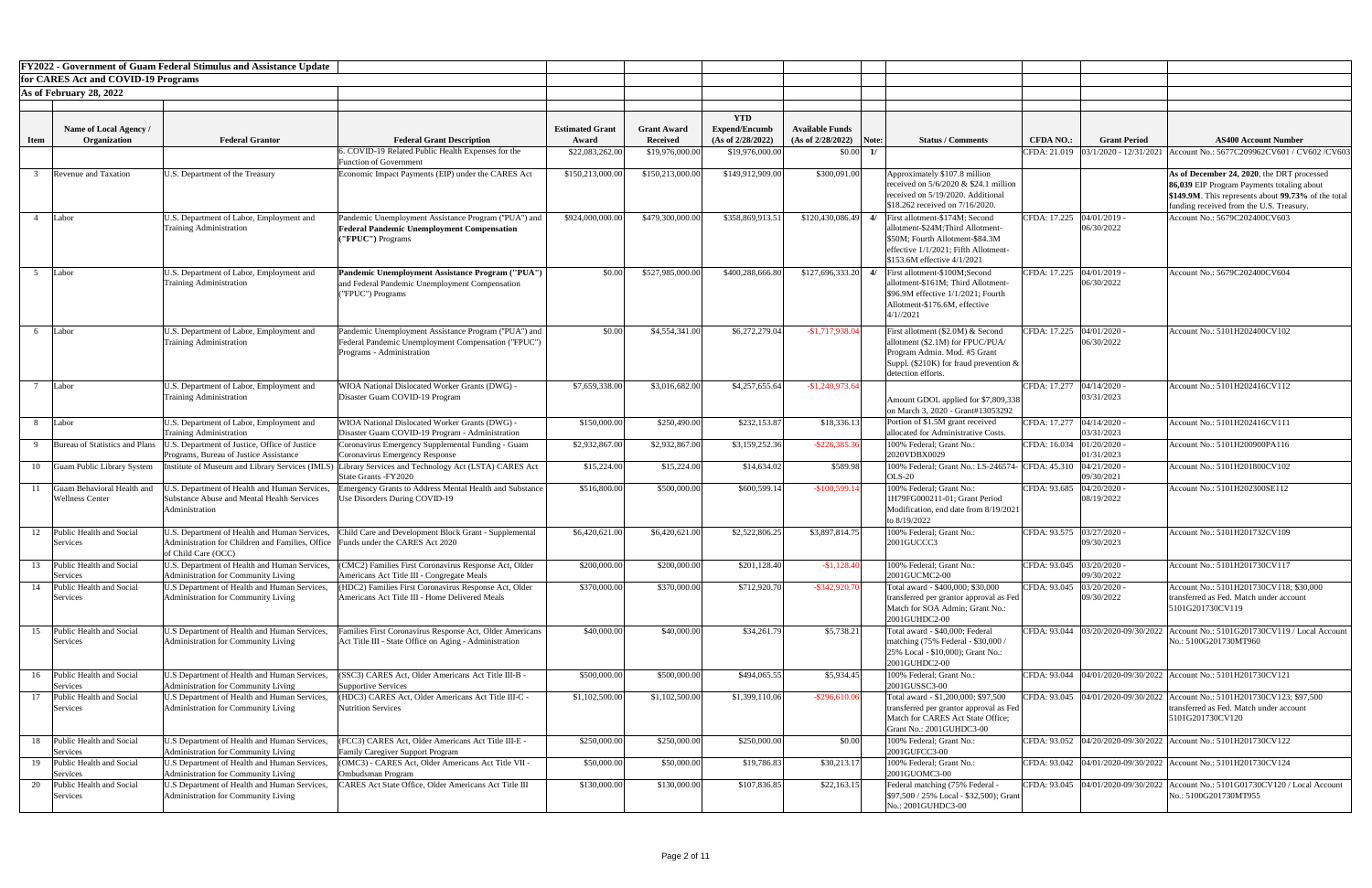|             |                                                      | <b>FY2022 - Government of Guam Federal Stimulus and Assistance Update</b>                                                                               |                                                                                                                                          |                                 |                                       |                                                         |                                                     |    |                                                                                                                                                                              |                             |                              |                                                                                                                                                                                             |
|-------------|------------------------------------------------------|---------------------------------------------------------------------------------------------------------------------------------------------------------|------------------------------------------------------------------------------------------------------------------------------------------|---------------------------------|---------------------------------------|---------------------------------------------------------|-----------------------------------------------------|----|------------------------------------------------------------------------------------------------------------------------------------------------------------------------------|-----------------------------|------------------------------|---------------------------------------------------------------------------------------------------------------------------------------------------------------------------------------------|
|             | for CARES Act and COVID-19 Programs                  |                                                                                                                                                         |                                                                                                                                          |                                 |                                       |                                                         |                                                     |    |                                                                                                                                                                              |                             |                              |                                                                                                                                                                                             |
|             | As of February 28, 2022                              |                                                                                                                                                         |                                                                                                                                          |                                 |                                       |                                                         |                                                     |    |                                                                                                                                                                              |                             |                              |                                                                                                                                                                                             |
| <b>Item</b> | Name of Local Agency /<br>Organization               | <b>Federal Grantor</b>                                                                                                                                  | <b>Federal Grant Description</b>                                                                                                         | <b>Estimated Grant</b><br>Award | <b>Grant Award</b><br><b>Received</b> | <b>YTD</b><br><b>Expend/Encumb</b><br>(As of 2/28/2022) | <b>Available Funds</b><br>$(As of 2/28/2022)$ Note: |    | <b>Status / Comments</b>                                                                                                                                                     | <b>CFDA NO.:</b>            | <b>Grant Period</b>          | <b>AS400 Account Number</b>                                                                                                                                                                 |
|             |                                                      |                                                                                                                                                         | . COVID-19 Related Public Health Expenses for the                                                                                        | \$22,083,262.00                 | \$19,976,000.00                       | \$19,976,000.00                                         | \$0.00                                              |    |                                                                                                                                                                              | CFDA: 21.019                | $03/1/2020 - 12/31/2021$     | Account No.: 5677C209962CV601 / CV602 / CV603                                                                                                                                               |
|             | <b>Revenue and Taxation</b>                          | U.S. Department of the Treasury                                                                                                                         | <b>Function of Government</b><br>Economic Impact Payments (EIP) under the CARES Act                                                      | \$150,213,000.00                | \$150,213,000.00                      | \$149,912,909.00                                        | \$300,091.00                                        |    | Approximately \$107.8 million<br>received on $5/6/2020 \& $24.1$ million<br>received on 5/19/2020. Additional<br>\$18.262 received on 7/16/2020.                             |                             |                              | As of December 24, 2020, the DRT processed<br>86,039 EIP Program Payments totaling about<br>\$149.9M. This represents about 99.73% of the total<br>funding received from the U.S. Treasury. |
|             | Labor                                                | U.S. Department of Labor, Employment and<br><b>Training Administration</b>                                                                              | Pandemic Unemployment Assistance Program ("PUA") and<br><b>Federal Pandemic Unemployment Compensation</b><br>("FPUC") Programs           | \$924,000,000.00                | \$479,300,000.00                      | \$358,869,913.51                                        | \$120,430,086.49                                    | 4/ | First allotment-\$174M; Second<br>allotment-\$24M;Third Allotment-<br>\$50M; Fourth Allotment-\$84.3M<br>effective 1/1/2021; Fifth Allotment-<br>\$153.6M effective 4/1/2021 | CFDA: 17.225   04/01/2019 - | 06/30/2022                   | Account No.: 5679C202400CV603                                                                                                                                                               |
|             | Labor                                                | U.S. Department of Labor, Employment and<br><b>Training Administration</b>                                                                              | Pandemic Unemployment Assistance Program ("PUA")<br>and Federal Pandemic Unemployment Compensation<br>("FPUC") Programs                  | \$0.00                          | \$527,985,000.00                      | \$400,288,666.80                                        |                                                     |    | $$127,696,333.20$ 4/ First allotment-\$100M;Second<br>allotment-\$161M; Third Allotment-<br>\$96.9M effective 1/1/2021; Fourth<br>Allotment-\$176.6M, effective<br>4/1/2021  | CFDA: 17.225                | $04/01/2019$ -<br>06/30/2022 | Account No.: 5679C202400CV604                                                                                                                                                               |
|             | Labor                                                | U.S. Department of Labor, Employment and<br><b>Training Administration</b>                                                                              | Pandemic Unemployment Assistance Program ("PUA") and<br>Federal Pandemic Unemployment Compensation ("FPUC")<br>Programs - Administration | \$0.00                          | \$4,554,341.00                        | \$6,272,279.04                                          | $-$1,717,938.04$                                    |    | First allotment (\$2.0M) & Second<br>allotment (\$2.1M) for FPUC/PUA/<br>Program Admin. Mod. #5 Grant<br>Suppl. (\$210K) for fraud prevention $\&$<br>detection efforts.     | CFDA: 17.225 04/01/2020 -   | 06/30/2022                   | Account No.: 5101H202400CV102                                                                                                                                                               |
|             | Labor                                                | U.S. Department of Labor, Employment and<br><b>Training Administration</b>                                                                              | WIOA National Dislocated Worker Grants (DWG) -<br>Disaster Guam COVID-19 Program                                                         | \$7,659,338.00                  | \$3,016,682.00                        | \$4,257,655.64                                          | $-$1,240,973.64$                                    |    | Amount GDOL applied for \$7,809,338<br>on March 3, 2020 - Grant#13053292                                                                                                     | CFDA: 17.277 04/14/2020 -   | 03/31/2023                   | Account No.: 5101H202416CV112                                                                                                                                                               |
|             | Labor                                                | U.S. Department of Labor, Employment and<br><b>Training Administration</b>                                                                              | WIOA National Dislocated Worker Grants (DWG) -<br>Disaster Guam COVID-19 Program - Administration                                        | \$150,000.00                    | \$250,490.00                          | \$232,153.87                                            | \$18,336.13                                         |    | Portion of \$1.5M grant received<br>allocated for Administrative Costs.                                                                                                      | CFDA: 17.277   04/14/2020 - | 03/31/2023                   | Account No.: 5101H202416CV111                                                                                                                                                               |
|             | Bureau of Statistics and Plans                       | J.S. Department of Justice, Office of Justice<br>Programs, Bureau of Justice Assistance                                                                 | Coronavirus Emergency Supplemental Funding - Guam<br>Coronavirus Emergency Response                                                      | \$2,932,867.00                  | \$2,932,867.00                        | \$3,159,252.36                                          | $-$ \$226,385.36                                    |    | 100% Federal; Grant No.:<br>2020VDBX0029                                                                                                                                     | CFDA: 16.034 01/20/2020     | 01/31/2023                   | Account No.: 5101H200900PA116                                                                                                                                                               |
| 10          | Guam Public Library System                           | Institute of Museum and Library Services (IMLS)                                                                                                         | Library Services and Technology Act (LSTA) CARES Act<br>State Grants - FY2020                                                            | \$15,224.00                     | \$15,224.00                           | \$14,634.02                                             | \$589.98                                            |    | 100% Federal; Grant No.: LS-246574-<br><b>OLS-20</b>                                                                                                                         | CFDA: 45.310  04/21/2020 -  | 09/30/2021                   | Account No.: 5101H201800CV102                                                                                                                                                               |
|             | Guam Behavioral Health and<br><b>Wellness Center</b> | J.S. Department of Health and Human Services,<br><b>Substance Abuse and Mental Health Services</b><br>Administration                                    | mergency Grants to Address Mental Health and Substance<br>Use Disorders During COVID-19                                                  | \$516,800.00                    | \$500,000.00                          | \$600,599.14                                            | $-$100,599.14$                                      |    | 100% Federal; Grant No.:<br>1H79FG000211-01; Grant Period<br>Modification, end date from 8/19/2021<br>to 8/19/2022                                                           | CFDA: 93.685                | 04/20/2020<br>08/19/2022     | Account No.: 5101H202300SE112                                                                                                                                                               |
|             | Public Health and Social<br>Services                 | U.S. Department of Health and Human Services,<br>Administration for Children and Families, Office Funds under the CARES Act 2020<br>of Child Care (OCC) | Child Care and Development Block Grant - Supplemental                                                                                    | \$6,420,621.00                  | \$6,420,621.00                        | \$2,522,806.25                                          | \$3,897,814.75                                      |    | 100% Federal; Grant No.:<br>2001GUCCC3                                                                                                                                       | CFDA: 93.575 03/27/2020 -   | 09/30/2023                   | Account No.: 5101H201732CV109                                                                                                                                                               |
| 13          | Public Health and Social<br>Services                 | U.S. Department of Health and Human Services,<br>Administration for Community Living                                                                    | CMC2) Families First Coronavirus Response Act, Older<br>Americans Act Title III - Congregate Meals                                       | \$200,000.00                    | \$200,000.00                          | \$201,128.40                                            | $-$1,128.40$                                        |    | 100% Federal; Grant No.:<br>2001GUCMC2-00                                                                                                                                    | CFDA: 93.045 03/20/2020 -   | 09/30/2022                   | Account No.: 5101H201730CV117                                                                                                                                                               |
|             | Public Health and Social<br>Services                 | U.S Department of Health and Human Services,<br>Administration for Community Living                                                                     | (HDC2) Families First Coronavirus Response Act, Older<br>Americans Act Title III - Home Delivered Meals                                  | \$370,000.00                    | \$370,000.00                          | \$712,920.70                                            | $-$ \$342,920.70                                    |    | Total award - \$400,000; \$30,000<br>transferred per grantor approval as Fed<br>Match for SOA Admin; Grant No.:<br>2001GUHDC2-00                                             | CFDA: 93.045                | 03/20/2020<br>09/30/2022     | Account No.: 5101H201730CV118; \$30,000<br>transferred as Fed. Match under account<br>5101G201730CV119                                                                                      |
| 15          | Public Health and Social<br>Services                 | U.S Department of Health and Human Services,<br>Administration for Community Living                                                                     | amilies First Coronavirus Response Act, Older Americans<br>Act Title III - State Office on Aging - Administration                        | \$40,000.00                     | \$40,000.00                           | \$34,261.79                                             | \$5,738.21                                          |    | Total award - \$40,000; Federal<br>matching (75% Federal - \$30,000 /<br>25% Local - \$10,000); Grant No.:<br>2001GUHDC2-00                                                  |                             |                              | CFDA: 93.044  03/20/2020-09/30/2022   Account No.: 5101G201730CV119 / Local Account<br>No.: 5100G201730MT960                                                                                |
|             | Public Health and Social<br>Services                 | U.S Department of Health and Human Services,<br>Administration for Community Living                                                                     | SSC3) CARES Act, Older Americans Act Title III-B -<br>Supportive Services                                                                | \$500,000.00                    | \$500,000.00                          | \$494,065.55                                            | \$5,934.45                                          |    | 100% Federal; Grant No.:<br>2001GUSSC3-00                                                                                                                                    |                             |                              | CFDA: 93.044 04/01/2020-09/30/2022 Account No.: 5101H201730CV121                                                                                                                            |
|             | Public Health and Social<br>Services                 | U.S Department of Health and Human Services,<br>Administration for Community Living                                                                     | (HDC3) CARES Act, Older Americans Act Title III-C -<br>Nutrition Services                                                                | \$1,102,500.00                  | \$1,102,500.00                        | \$1,399,110.06                                          | $-$ \$296,610.06                                    |    | Total award - \$1,200,000; \$97,500<br>transferred per grantor approval as Fed<br>Match for CARES Act State Office;<br><b>Grant No.: 2001GUHDC3-00</b>                       |                             |                              | CFDA: 93.045  04/01/2020-09/30/2022   Account No.: 5101H201730CV123; \$97,500<br>transferred as Fed. Match under account<br>5101G201730CV120                                                |
|             | 18 Public Health and Social<br>Services              | U.S Department of Health and Human Services,<br>Administration for Community Living                                                                     | FCC3) CARES Act, Older Americans Act Title III-E -<br><b>Family Caregiver Support Program</b>                                            | \$250,000.00                    | \$250,000.00                          | \$250,000.00                                            | \$0.00                                              |    | 100% Federal; Grant No.:<br>2001GUFCC3-00                                                                                                                                    |                             |                              | CFDA: 93.052 04/20/2020-09/30/2022 Account No.: 5101H201730CV122                                                                                                                            |
| 19          | Public Health and Social<br>Services                 | U.S Department of Health and Human Services,<br>Administration for Community Living                                                                     | (OMC3) - CARES Act, Older Americans Act Title VII -<br>Ombudsman Program                                                                 | \$50,000.00                     | \$50,000.00                           | \$19,786.83                                             | \$30,213.17                                         |    | 100% Federal; Grant No.:<br>2001GUOMC3-00                                                                                                                                    |                             |                              | CFDA: 93.042 04/01/2020-09/30/2022 Account No.: 5101H201730CV124                                                                                                                            |
| 20          | Public Health and Social<br>Services                 | U.S Department of Health and Human Services,<br>Administration for Community Living                                                                     | <b>EARES</b> Act State Office, Older Americans Act Title III                                                                             | \$130,000.00                    | \$130,000.00                          | \$107,836.85                                            | \$22,163.15                                         |    | Federal matching (75% Federal -<br>\$97,500 / 25% Local - \$32,500); Grant<br>No.: 2001GUHDC3-00                                                                             |                             |                              | CFDA: 93.045  04/01/2020-09/30/2022   Account No.: 5101G01730CV120 / Local Account<br>No.: 5100G201730MT955                                                                                 |

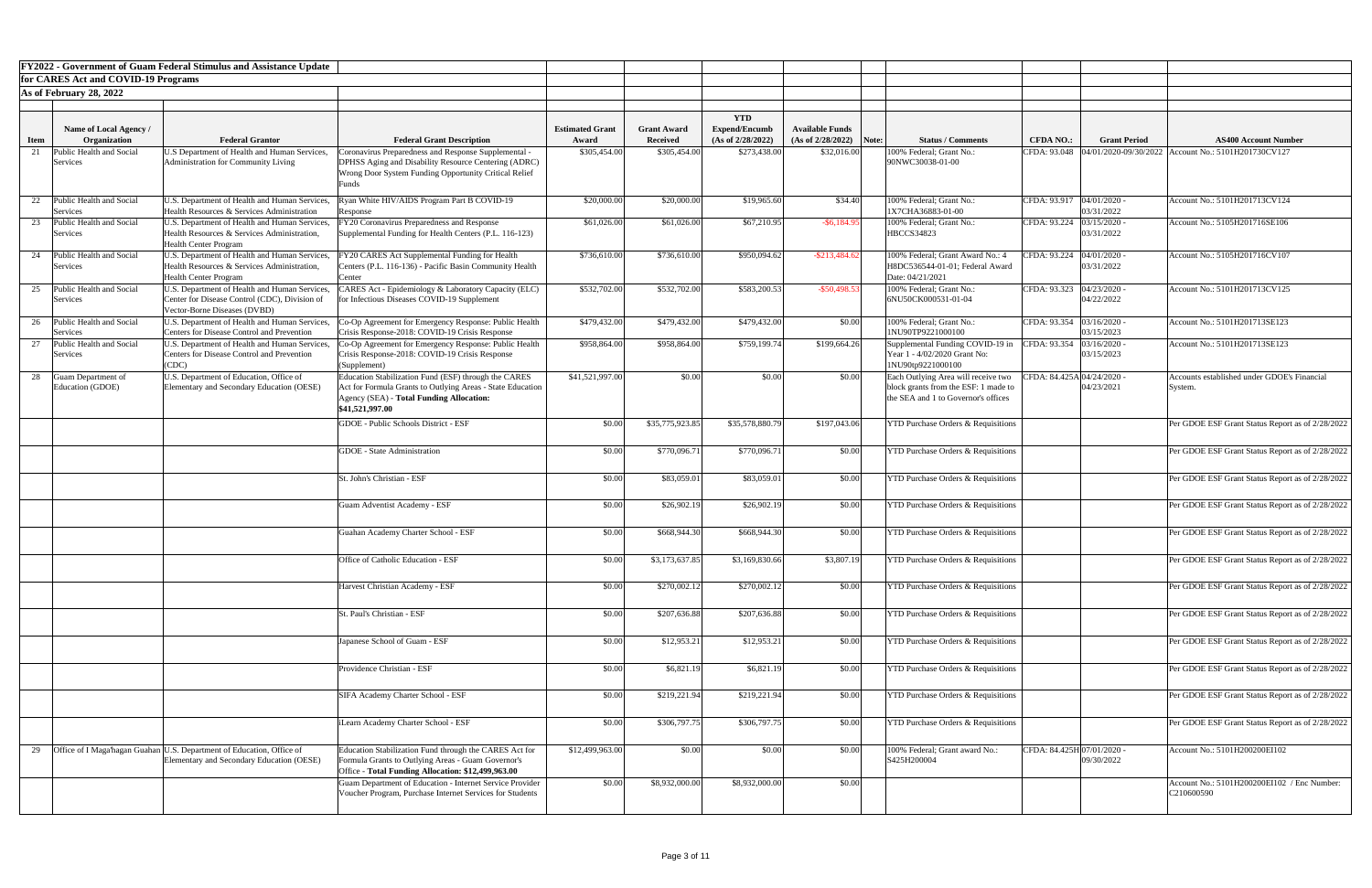|             |                                        | <b>FY2022 - Government of Guam Federal Stimulus and Assistance Update</b>                    |                                                                                                                    |                        |                    |                      |                           |                                                                             |                             |                          |                                                                     |
|-------------|----------------------------------------|----------------------------------------------------------------------------------------------|--------------------------------------------------------------------------------------------------------------------|------------------------|--------------------|----------------------|---------------------------|-----------------------------------------------------------------------------|-----------------------------|--------------------------|---------------------------------------------------------------------|
|             | for CARES Act and COVID-19 Programs    |                                                                                              |                                                                                                                    |                        |                    |                      |                           |                                                                             |                             |                          |                                                                     |
|             | As of February 28, 2022                |                                                                                              |                                                                                                                    |                        |                    |                      |                           |                                                                             |                             |                          |                                                                     |
|             |                                        |                                                                                              |                                                                                                                    |                        |                    | <b>YTD</b>           |                           |                                                                             |                             |                          |                                                                     |
|             | Name of Local Agency /                 |                                                                                              |                                                                                                                    | <b>Estimated Grant</b> | <b>Grant Award</b> | <b>Expend/Encumb</b> | <b>Available Funds</b>    |                                                                             |                             |                          |                                                                     |
| <b>Item</b> | Organization                           | <b>Federal Grantor</b>                                                                       | <b>Federal Grant Description</b>                                                                                   | Award                  | <b>Received</b>    | (As of 2/28/2022)    | $(As of 2/28/2022)$ Note: | <b>Status / Comments</b>                                                    | <b>CFDA NO.:</b>            | <b>Grant Period</b>      | <b>AS400 Account Number</b>                                         |
|             | Public Health and Social               | U.S Department of Health and Human Services,                                                 | Coronavirus Preparedness and Response Supplemental -                                                               | \$305,454.00           | \$305,454.00       | \$273,438.00         | \$32,016.00               | 100% Federal; Grant No.:<br>90NWC30038-01-00                                |                             |                          | CFDA: 93.048  04/01/2020-09/30/2022   Account No.: 5101H201730CV127 |
|             | <b>Services</b>                        | Administration for Community Living                                                          | DPHSS Aging and Disability Resource Centering (ADRC)<br>Wrong Door System Funding Opportunity Critical Relief      |                        |                    |                      |                           |                                                                             |                             |                          |                                                                     |
|             |                                        |                                                                                              | ∹unds                                                                                                              |                        |                    |                      |                           |                                                                             |                             |                          |                                                                     |
|             | Public Health and Social               | U.S. Department of Health and Human Services,                                                | Ryan White HIV/AIDS Program Part B COVID-19                                                                        | \$20,000.00            | \$20,000.00        | \$19,965.60          | \$34.40                   | 100% Federal; Grant No.:                                                    | CFDA: 93.917 04/01/2020 -   |                          | Account No.: 5101H201713CV124                                       |
|             | Services<br>Public Health and Social   | Health Resources & Services Administration                                                   | Response                                                                                                           |                        | \$61,026.00        |                      |                           | 1X7CHA36883-01-00<br>100% Federal; Grant No.:                               |                             | 03/31/2022<br>03/15/2020 | Account No.: 5105H201716SE106                                       |
|             | Services                               | U.S. Department of Health and Human Services,<br>Health Resources & Services Administration, | FY20 Coronavirus Preparedness and Response<br>Supplemental Funding for Health Centers (P.L. 116-123)               | \$61,026.00            |                    | \$67,210.95          | $-$ \$6,184.95            | <b>HBCCS34823</b>                                                           | CFDA: 93.224                | 03/31/2022               |                                                                     |
|             |                                        | <b>Health Center Program</b>                                                                 |                                                                                                                    |                        |                    |                      |                           |                                                                             |                             |                          |                                                                     |
|             | Public Health and Social<br>Services   | U.S. Department of Health and Human Services,<br>Health Resources & Services Administration, | FY20 CARES Act Supplemental Funding for Health<br>Centers (P.L. 116-136) - Pacific Basin Community Health          | \$736,610.00           | \$736,610.00       | \$950,094.6          | $-$ \$213,484.6           | 100% Federal; Grant Award No.: 4<br>H8DC536544-01-01; Federal Award         | CFDA: 93.224   04/01/2020 - | 03/31/2022               | Account No.: 5105H201716CV107                                       |
|             |                                        | <b>Health Center Program</b>                                                                 | Center                                                                                                             |                        |                    |                      |                           | Date: 04/21/2021                                                            |                             |                          |                                                                     |
|             | 25 Public Health and Social            | U.S. Department of Health and Human Services,                                                | 'ARES Act - Epidemiology & Laboratory Capacity (ELC)                                                               | \$532,702.00           | \$532,702.00       | \$583,200.53         | $-$ \$50,498.53           | 100% Federal; Grant No.:                                                    | CFDA: 93.323 04/23/2020 -   |                          | Account No.: 5101H201713CV125                                       |
|             | Services                               | Center for Disease Control (CDC), Division of<br>Vector-Borne Diseases (DVBD)                | for Infectious Diseases COVID-19 Supplement                                                                        |                        |                    |                      |                           | 6NU50CK000531-01-04                                                         |                             | 04/22/2022               |                                                                     |
|             | 26 Public Health and Social            | U.S. Department of Health and Human Services,                                                | Co-Op Agreement for Emergency Response: Public Health                                                              | \$479,432.00           | \$479,432.00       | \$479,432.00         | \$0.00                    | 100% Federal; Grant No.:                                                    | CFDA: 93.354 03/16/2020 -   |                          | Account No.: 5101H201713SE123                                       |
|             | Services                               | Centers for Disease Control and Prevention                                                   | Crisis Response-2018: COVID-19 Crisis Response                                                                     |                        |                    |                      |                           | 1NU90TP9221000100                                                           |                             | 03/15/2023               |                                                                     |
| 27          | Public Health and Social<br>Services   | U.S. Department of Health and Human Services,<br>Centers for Disease Control and Prevention  | Co-Op Agreement for Emergency Response: Public Health<br>Crisis Response-2018: COVID-19 Crisis Response            | \$958,864.00           | \$958,864.00       | \$759,199.74         | \$199,664.26              | Supplemental Funding COVID-19 in<br>Year 1 - 4/02/2020 Grant No:            | CFDA: 93.354                | 03/16/2020<br>03/15/2023 | Account No.: 5101H201713SE123                                       |
|             |                                        | (CDC)                                                                                        | (Supplement)                                                                                                       |                        |                    |                      |                           | 1NU90tp9221000100                                                           |                             |                          |                                                                     |
|             | Guam Department of<br>Education (GDOE) | U.S. Department of Education, Office of                                                      | Education Stabilization Fund (ESF) through the CARES<br>Act for Formula Grants to Outlying Areas - State Education | \$41,521,997.00        | \$0.00             | \$0.00               | \$0.00                    | Each Outlying Area will receive two<br>block grants from the ESF: 1 made to | CFDA: 84.425A 04/24/2020 -  | 04/23/2021               | Accounts established under GDOE's Financial                         |
|             |                                        | Elementary and Secondary Education (OESE)                                                    | Agency (SEA) - Total Funding Allocation:                                                                           |                        |                    |                      |                           | the SEA and 1 to Governor's offices                                         |                             |                          | System.                                                             |
|             |                                        |                                                                                              | \$41,521,997.00                                                                                                    |                        |                    |                      |                           |                                                                             |                             |                          |                                                                     |
|             |                                        |                                                                                              | GDOE - Public Schools District - ESF                                                                               | \$0.00                 | \$35,775,923.85    | \$35,578,880.79      | \$197,043.06              | <b>YTD Purchase Orders &amp; Requisitions</b>                               |                             |                          | Per GDOE ESF Grant Status Report as of 2/28/2022                    |
|             |                                        |                                                                                              |                                                                                                                    |                        |                    |                      |                           |                                                                             |                             |                          |                                                                     |
|             |                                        |                                                                                              | <b>GDOE</b> - State Administration                                                                                 | \$0.00                 | \$770,096.71       | \$770,096.71         | \$0.00                    | <b>YTD Purchase Orders &amp; Requisitions</b>                               |                             |                          | Per GDOE ESF Grant Status Report as of 2/28/2022                    |
|             |                                        |                                                                                              | St. John's Christian - ESF                                                                                         | \$0.00                 | \$83,059.01        | \$83,059.01          | \$0.00                    | <b>YTD Purchase Orders &amp; Requisitions</b>                               |                             |                          | Per GDOE ESF Grant Status Report as of 2/28/2022                    |
|             |                                        |                                                                                              |                                                                                                                    |                        |                    |                      |                           |                                                                             |                             |                          |                                                                     |
|             |                                        |                                                                                              | Guam Adventist Academy - ESF                                                                                       | \$0.00                 | \$26,902.19        | \$26,902.19          | \$0.00                    | <b>YTD Purchase Orders &amp; Requisitions</b>                               |                             |                          | Per GDOE ESF Grant Status Report as of 2/28/2022                    |
|             |                                        |                                                                                              |                                                                                                                    |                        |                    |                      |                           |                                                                             |                             |                          |                                                                     |
|             |                                        |                                                                                              | Guahan Academy Charter School - ESF                                                                                | \$0.00                 | \$668,944.30       | \$668,944.30         | \$0.00                    | <b>YTD Purchase Orders &amp; Requisitions</b>                               |                             |                          | Per GDOE ESF Grant Status Report as of 2/28/2022                    |
|             |                                        |                                                                                              |                                                                                                                    |                        |                    |                      |                           |                                                                             |                             |                          |                                                                     |
|             |                                        |                                                                                              | Office of Catholic Education - ESF                                                                                 | \$0.00                 | \$3,173,637.85     | \$3,169,830.66       | \$3,807.19                | <b>YTD Purchase Orders &amp; Requisitions</b>                               |                             |                          | Per GDOE ESF Grant Status Report as of 2/28/2022                    |
|             |                                        |                                                                                              | Harvest Christian Academy - ESF                                                                                    | \$0.00                 | \$270,002.12       | \$270,002.12         | \$0.00                    | <b>YTD Purchase Orders &amp; Requisitions</b>                               |                             |                          | Per GDOE ESF Grant Status Report as of 2/28/2022                    |
|             |                                        |                                                                                              |                                                                                                                    |                        |                    |                      |                           |                                                                             |                             |                          |                                                                     |
|             |                                        |                                                                                              | St. Paul's Christian - ESF                                                                                         | \$0.00                 | \$207,636.88       | \$207,636.88         | \$0.00                    | <b>YTD Purchase Orders &amp; Requisitions</b>                               |                             |                          | Per GDOE ESF Grant Status Report as of 2/28/2022                    |
|             |                                        |                                                                                              |                                                                                                                    |                        |                    |                      |                           |                                                                             |                             |                          |                                                                     |
|             |                                        |                                                                                              | apanese School of Guam - ESF                                                                                       | \$0.00                 | \$12,953.21        | \$12,953.21          | \$0.00                    | <b>YTD Purchase Orders &amp; Requisitions</b>                               |                             |                          | Per GDOE ESF Grant Status Report as of 2/28/2022                    |
|             |                                        |                                                                                              |                                                                                                                    |                        |                    |                      |                           |                                                                             |                             |                          |                                                                     |
|             |                                        |                                                                                              | Providence Christian - ESF                                                                                         | \$0.00                 | \$6,821.19         | \$6,821.19           | \$0.00                    | <b>YTD Purchase Orders &amp; Requisitions</b>                               |                             |                          | Per GDOE ESF Grant Status Report as of 2/28/2022                    |
|             |                                        |                                                                                              | SIFA Academy Charter School - ESF                                                                                  | \$0.00                 | \$219,221.94       | \$219,221.94         | \$0.00                    | <b>YTD Purchase Orders &amp; Requisitions</b>                               |                             |                          | Per GDOE ESF Grant Status Report as of 2/28/2022                    |
|             |                                        |                                                                                              |                                                                                                                    |                        |                    |                      |                           |                                                                             |                             |                          |                                                                     |
|             |                                        |                                                                                              | iLearn Academy Charter School - ESF                                                                                | \$0.00                 | \$306,797.75       | \$306,797.75         | \$0.00                    | <b>YTD Purchase Orders &amp; Requisitions</b>                               |                             |                          | Per GDOE ESF Grant Status Report as of 2/28/2022                    |
|             |                                        |                                                                                              |                                                                                                                    |                        |                    |                      |                           |                                                                             |                             |                          |                                                                     |
| 29          |                                        | Office of I Maga hagan Guahan U.S. Department of Education, Office of                        | Education Stabilization Fund through the CARES Act for                                                             | \$12,499,963.00        | \$0.00             | \$0.00               | \$0.00                    | 100% Federal; Grant award No.                                               | CFDA: 84.425H 07/01/2020 -  |                          | Account No.: 5101H200200EI102                                       |
|             |                                        | Elementary and Secondary Education (OESE)                                                    | Formula Grants to Outlying Areas - Guam Governor's<br>Office - Total Funding Allocation: \$12,499,963.00           |                        |                    |                      |                           | S425H200004                                                                 |                             | 09/30/2022               |                                                                     |
|             |                                        |                                                                                              | Guam Department of Education - Internet Service Provider                                                           | \$0.00                 | \$8,932,000.00     | \$8,932,000.00       | \$0.00                    |                                                                             |                             |                          | Account No.: 5101H200200EI102 / Enc Number:                         |
|             |                                        |                                                                                              | Voucher Program, Purchase Internet Services for Students                                                           |                        |                    |                      |                           |                                                                             |                             |                          | C210600590                                                          |
|             |                                        |                                                                                              |                                                                                                                    |                        |                    |                      |                           |                                                                             |                             |                          |                                                                     |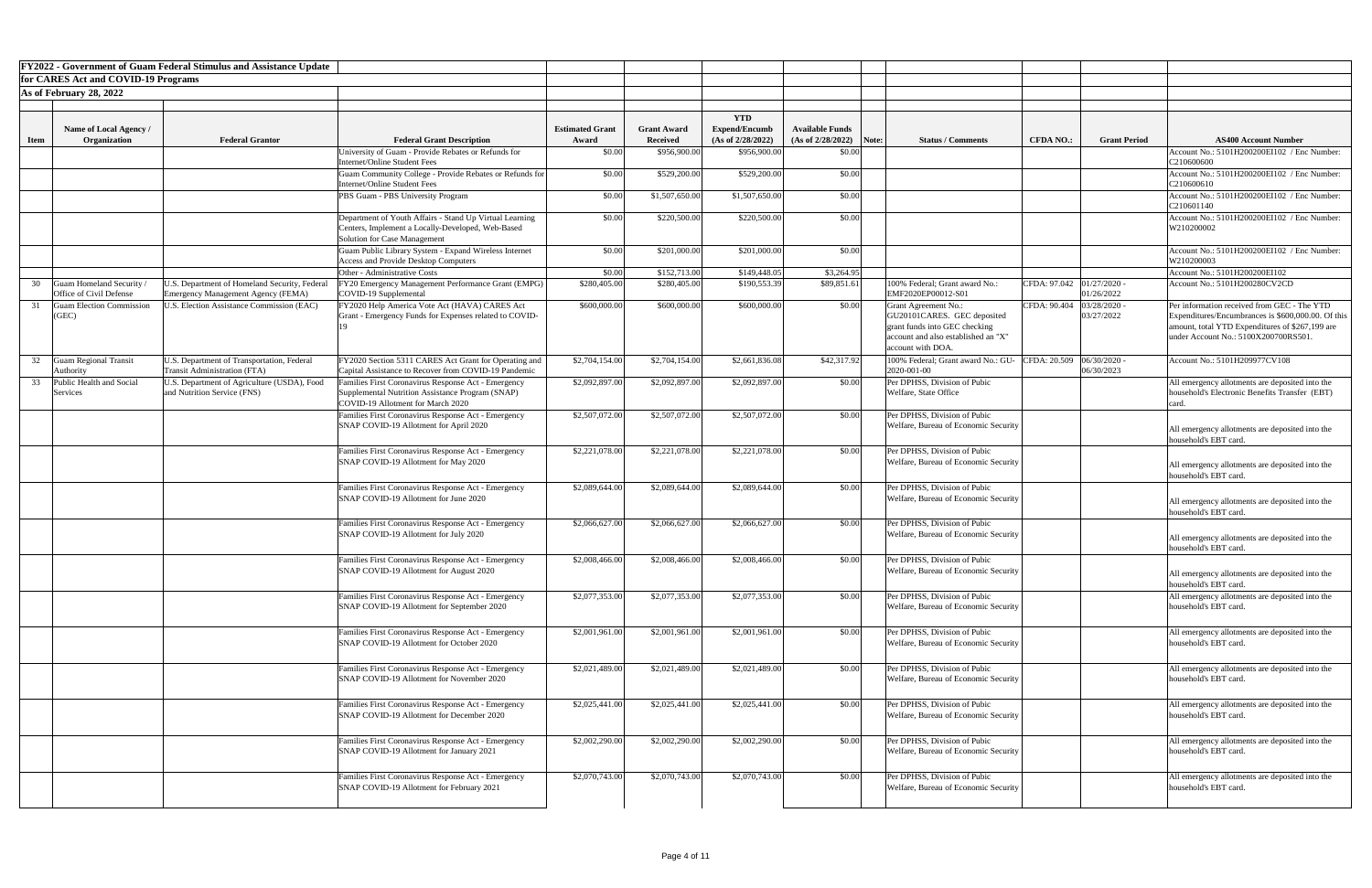|             |                                                  | <b>FY2022 - Government of Guam Federal Stimulus and Assistance Update</b>         |                                                                                                                                              |                                 |                                       |                                           |                                                     |                                                                                                                                                         |                  |                          |                                                                                                                                                                                             |
|-------------|--------------------------------------------------|-----------------------------------------------------------------------------------|----------------------------------------------------------------------------------------------------------------------------------------------|---------------------------------|---------------------------------------|-------------------------------------------|-----------------------------------------------------|---------------------------------------------------------------------------------------------------------------------------------------------------------|------------------|--------------------------|---------------------------------------------------------------------------------------------------------------------------------------------------------------------------------------------|
|             | for CARES Act and COVID-19 Programs              |                                                                                   |                                                                                                                                              |                                 |                                       |                                           |                                                     |                                                                                                                                                         |                  |                          |                                                                                                                                                                                             |
|             | As of February 28, 2022                          |                                                                                   |                                                                                                                                              |                                 |                                       |                                           |                                                     |                                                                                                                                                         |                  |                          |                                                                                                                                                                                             |
|             |                                                  |                                                                                   |                                                                                                                                              |                                 |                                       |                                           |                                                     |                                                                                                                                                         |                  |                          |                                                                                                                                                                                             |
|             |                                                  |                                                                                   |                                                                                                                                              |                                 |                                       | <b>YTD</b>                                |                                                     |                                                                                                                                                         |                  |                          |                                                                                                                                                                                             |
| <b>Item</b> | Name of Local Agency /<br>Organization           | <b>Federal Grantor</b>                                                            | <b>Federal Grant Description</b>                                                                                                             | <b>Estimated Grant</b><br>Award | <b>Grant Award</b><br><b>Received</b> | <b>Expend/Encumb</b><br>(As of 2/28/2022) | <b>Available Funds</b><br>$(As of 2/28/2022)$ Note: | <b>Status / Comments</b>                                                                                                                                | <b>CFDA NO.:</b> | <b>Grant Period</b>      | <b>AS400 Account Number</b>                                                                                                                                                                 |
|             |                                                  |                                                                                   | University of Guam - Provide Rebates or Refunds for                                                                                          | \$0.00                          | \$956,900.00                          | \$956,900.00                              | \$0.00                                              |                                                                                                                                                         |                  |                          | Account No.: 5101H200200EI102 / Enc Number:                                                                                                                                                 |
|             |                                                  |                                                                                   | <b>Internet/Online Student Fees</b>                                                                                                          |                                 |                                       |                                           |                                                     |                                                                                                                                                         |                  |                          | C210600600                                                                                                                                                                                  |
|             |                                                  |                                                                                   | Guam Community College - Provide Rebates or Refunds for                                                                                      | \$0.00                          | \$529,200.00                          | \$529,200.00                              | \$0.00                                              |                                                                                                                                                         |                  |                          | Account No.: 5101H200200EI102 / Enc Number:                                                                                                                                                 |
|             |                                                  |                                                                                   | Internet/Online Student Fees                                                                                                                 |                                 |                                       |                                           |                                                     |                                                                                                                                                         |                  |                          | C210600610                                                                                                                                                                                  |
|             |                                                  |                                                                                   | PBS Guam - PBS University Program                                                                                                            | \$0.00                          | \$1,507,650.00                        | \$1,507,650.00                            | \$0.00                                              |                                                                                                                                                         |                  |                          | Account No.: 5101H200200EI102 / Enc Number:<br>C210601140                                                                                                                                   |
|             |                                                  |                                                                                   | Department of Youth Affairs - Stand Up Virtual Learning<br>Centers, Implement a Locally-Developed, Web-Based                                 | \$0.00                          | \$220,500.00                          | \$220,500.00                              | \$0.00                                              |                                                                                                                                                         |                  |                          | Account No.: 5101H200200EI102 / Enc Number:<br>W210200002                                                                                                                                   |
|             |                                                  |                                                                                   | Solution for Case Management                                                                                                                 |                                 |                                       |                                           |                                                     |                                                                                                                                                         |                  |                          |                                                                                                                                                                                             |
|             |                                                  |                                                                                   | Guam Public Library System - Expand Wireless Internet<br><b>Access and Provide Desktop Computers</b>                                         | \$0.00                          | \$201,000.00                          | \$201,000.00                              | \$0.00                                              |                                                                                                                                                         |                  |                          | Account No.: 5101H200200EI102 / Enc Number:<br>W210200003                                                                                                                                   |
|             |                                                  |                                                                                   | Other - Administrative Costs                                                                                                                 | \$0.00                          | \$152,713.00                          | \$149,448.05                              | \$3,264.95                                          |                                                                                                                                                         |                  |                          | Account No.: 5101H200200EI102                                                                                                                                                               |
| 30          | Guam Homeland Security                           | J.S. Department of Homeland Security, Federal                                     | FY20 Emergency Management Performance Grant (EMPG)                                                                                           | \$280,405.00                    | \$280,405.00                          | \$190,553.39                              | \$89,851.6                                          | 100% Federal; Grant award No.:                                                                                                                          | CFDA: 97.042     | 01/27/2020               | Account No.: 5101H200280CV2CD                                                                                                                                                               |
|             | Office of Civil Defense                          | Emergency Management Agency (FEMA)                                                | COVID-19 Supplemental                                                                                                                        |                                 |                                       |                                           |                                                     | EMF2020EP00012-S01                                                                                                                                      |                  | 01/26/2022               |                                                                                                                                                                                             |
|             | <b>Guam Election Commission</b><br>(GEC)         | <b>J.S. Election Assistance Commission (EAC)</b>                                  | FY2020 Help America Vote Act (HAVA) CARES Act<br>Grant - Emergency Funds for Expenses related to COVID-                                      | \$600,000.00                    | \$600,000.00                          | \$600,000.00                              | \$0.00                                              | <b>Grant Agreement No.:</b><br>GU20101CARES. GEC deposited<br>grant funds into GEC checking<br>account and also established an "X"<br>account with DOA. | CFDA: 90.404     | 03/28/2020<br>03/27/2022 | Per information received from GEC - The YTD<br>Expenditures/Encumbrances is \$600,000.00. Of this<br>amount, total YTD Expenditures of \$267,199 are<br>under Account No.: 5100X200700RS501 |
|             | <b>Guam Regional Transit</b><br><b>Authority</b> | U.S. Department of Transportation, Federal<br><b>Transit Administration (FTA)</b> | FY2020 Section 5311 CARES Act Grant for Operating and<br>Capital Assistance to Recover from COVID-19 Pandemic                                | \$2,704,154.00                  | \$2,704,154.00                        | \$2,661,836.08                            | \$42,317.92                                         | 100% Federal; Grant award No.: GU-<br>2020-001-00                                                                                                       | CFDA: 20.509     | 06/30/2020<br>06/30/2023 | Account No.: 5101H209977CV108                                                                                                                                                               |
| 33          | Public Health and Social<br>Services             | U.S. Department of Agriculture (USDA), Food<br>and Nutrition Service (FNS)        | Families First Coronavirus Response Act - Emergency<br>Supplemental Nutrition Assistance Program (SNAP)<br>COVID-19 Allotment for March 2020 | \$2,092,897.00                  | \$2,092,897.00                        | \$2,092,897.00                            | \$0.00                                              | Per DPHSS, Division of Pubic<br>Welfare, State Office                                                                                                   |                  |                          | All emergency allotments are deposited into the<br>household's Electronic Benefits Transfer (EBT)<br>card                                                                                   |
|             |                                                  |                                                                                   | Families First Coronavirus Response Act - Emergency<br>SNAP COVID-19 Allotment for April 2020                                                | \$2,507,072.00                  | \$2,507,072.00                        | \$2,507,072.00                            | \$0.00                                              | Per DPHSS, Division of Pubic<br>Welfare, Bureau of Economic Security                                                                                    |                  |                          | All emergency allotments are deposited into the<br>household's EBT card.                                                                                                                    |
|             |                                                  |                                                                                   | Families First Coronavirus Response Act - Emergency<br>SNAP COVID-19 Allotment for May 2020                                                  | \$2,221,078.00                  | \$2,221,078.00                        | \$2,221,078.00                            | \$0.00                                              | Per DPHSS, Division of Pubic<br>Welfare, Bureau of Economic Security                                                                                    |                  |                          | All emergency allotments are deposited into the<br>household's EBT card.                                                                                                                    |
|             |                                                  |                                                                                   | Families First Coronavirus Response Act - Emergency<br>SNAP COVID-19 Allotment for June 2020                                                 | \$2,089,644.00                  | \$2,089,644.00                        | \$2,089,644.00                            | \$0.00                                              | Per DPHSS, Division of Pubic<br>Welfare, Bureau of Economic Security                                                                                    |                  |                          | All emergency allotments are deposited into the<br>household's EBT card.                                                                                                                    |
|             |                                                  |                                                                                   | Families First Coronavirus Response Act - Emergency<br>SNAP COVID-19 Allotment for July 2020                                                 | \$2,066,627.00                  | \$2,066,627.00                        | \$2,066,627.00                            | \$0.00                                              | Per DPHSS, Division of Pubic<br>Welfare, Bureau of Economic Security                                                                                    |                  |                          | All emergency allotments are deposited into the<br>household's EBT card.                                                                                                                    |
|             |                                                  |                                                                                   | Families First Coronavirus Response Act - Emergency<br>SNAP COVID-19 Allotment for August 2020                                               | \$2,008,466.00                  | \$2,008,466.00                        | \$2,008,466.00                            | \$0.00                                              | Per DPHSS, Division of Pubic<br>Welfare, Bureau of Economic Security                                                                                    |                  |                          | All emergency allotments are deposited into the<br>household's EBT card.                                                                                                                    |
|             |                                                  |                                                                                   | Families First Coronavirus Response Act - Emergency<br>SNAP COVID-19 Allotment for September 2020                                            | \$2,077,353.00                  | \$2,077,353.00                        | \$2,077,353.00                            | \$0.00                                              | Per DPHSS, Division of Pubic<br>Welfare, Bureau of Economic Security                                                                                    |                  |                          | All emergency allotments are deposited into the<br>household's EBT card.                                                                                                                    |
|             |                                                  |                                                                                   | Families First Coronavirus Response Act - Emergency<br>SNAP COVID-19 Allotment for October 2020                                              | \$2,001,961.00                  | \$2,001,961.00                        | \$2,001,961.00                            | \$0.00                                              | Per DPHSS, Division of Pubic<br>Welfare, Bureau of Economic Security                                                                                    |                  |                          | All emergency allotments are deposited into the<br>household's EBT card.                                                                                                                    |
|             |                                                  |                                                                                   | Families First Coronavirus Response Act - Emergency<br>SNAP COVID-19 Allotment for November 2020                                             | \$2,021,489.00                  | \$2,021,489.00                        | \$2,021,489.00                            | \$0.00                                              | Per DPHSS, Division of Pubic<br>Welfare, Bureau of Economic Security                                                                                    |                  |                          | All emergency allotments are deposited into the<br>household's EBT card.                                                                                                                    |
|             |                                                  |                                                                                   | Families First Coronavirus Response Act - Emergency<br>SNAP COVID-19 Allotment for December 2020                                             | \$2,025,441.00                  | \$2,025,441.00                        | \$2,025,441.00                            | \$0.00                                              | Per DPHSS, Division of Pubic<br>Welfare, Bureau of Economic Security                                                                                    |                  |                          | All emergency allotments are deposited into the<br>household's EBT card.                                                                                                                    |
|             |                                                  |                                                                                   | Families First Coronavirus Response Act - Emergency<br>SNAP COVID-19 Allotment for January 2021                                              | \$2,002,290.00                  | \$2,002,290.00                        | \$2,002,290.00                            | \$0.00                                              | Per DPHSS, Division of Pubic<br>Welfare, Bureau of Economic Security                                                                                    |                  |                          | All emergency allotments are deposited into the<br>household's EBT card.                                                                                                                    |
|             |                                                  |                                                                                   | Families First Coronavirus Response Act - Emergency<br>SNAP COVID-19 Allotment for February 2021                                             | \$2,070,743.00                  | \$2,070,743.00                        | \$2,070,743.00                            | \$0.00                                              | Per DPHSS, Division of Pubic<br>Welfare, Bureau of Economic Security                                                                                    |                  |                          | All emergency allotments are deposited into the<br>household's EBT card.                                                                                                                    |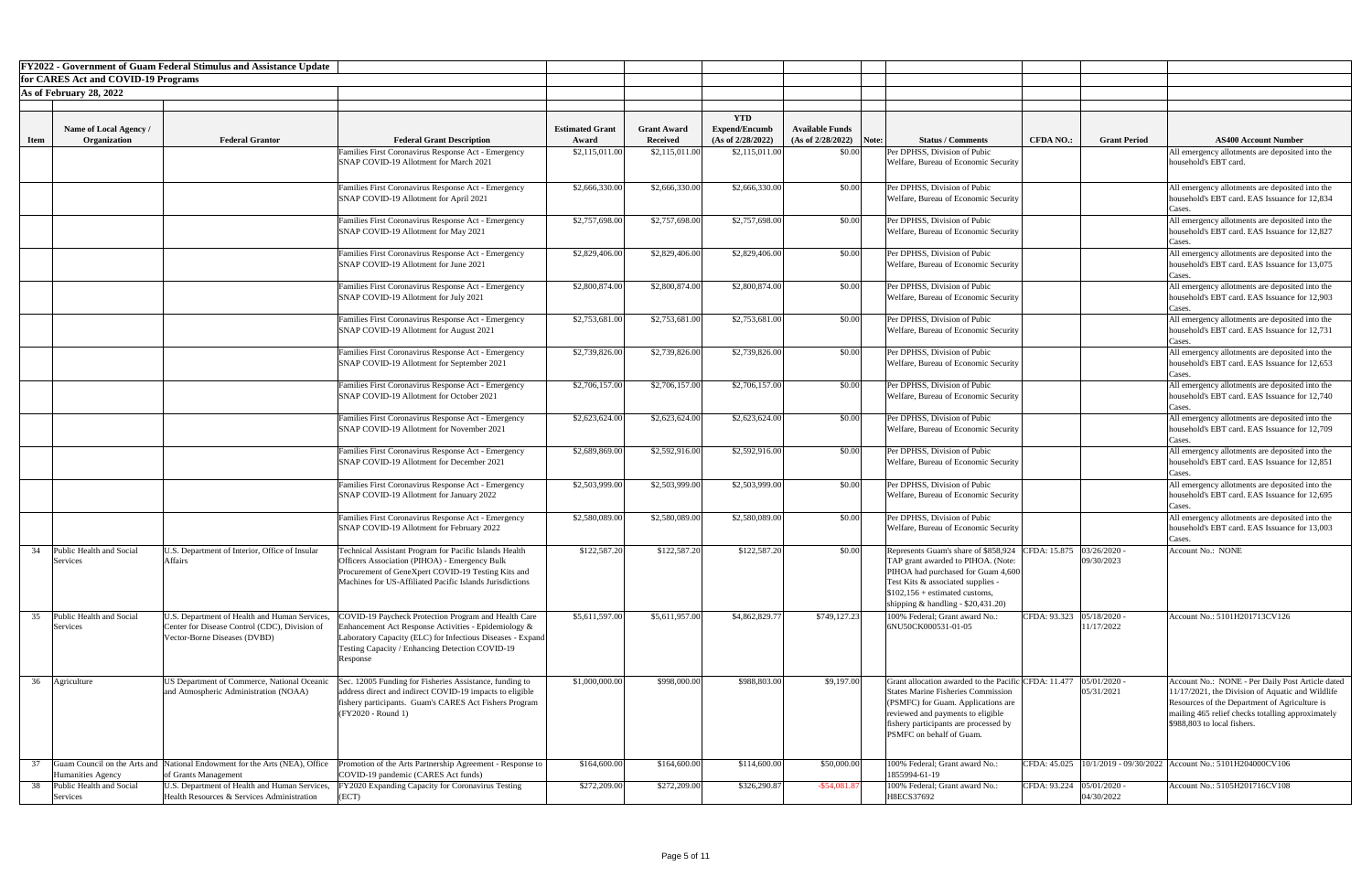|             | <b>FY2022 - Government of Guam Federal Stimulus and Assistance Update</b>                                               |                                                                                                                                |                                                                                                                                                                                                                                           |                        |                    |                      |                           |                                                                                                                                                                                                                                                            |                             |                              |                                                                                                                                                                                                                                           |
|-------------|-------------------------------------------------------------------------------------------------------------------------|--------------------------------------------------------------------------------------------------------------------------------|-------------------------------------------------------------------------------------------------------------------------------------------------------------------------------------------------------------------------------------------|------------------------|--------------------|----------------------|---------------------------|------------------------------------------------------------------------------------------------------------------------------------------------------------------------------------------------------------------------------------------------------------|-----------------------------|------------------------------|-------------------------------------------------------------------------------------------------------------------------------------------------------------------------------------------------------------------------------------------|
|             | for CARES Act and COVID-19 Programs                                                                                     |                                                                                                                                |                                                                                                                                                                                                                                           |                        |                    |                      |                           |                                                                                                                                                                                                                                                            |                             |                              |                                                                                                                                                                                                                                           |
|             | As of February 28, 2022                                                                                                 |                                                                                                                                |                                                                                                                                                                                                                                           |                        |                    |                      |                           |                                                                                                                                                                                                                                                            |                             |                              |                                                                                                                                                                                                                                           |
|             |                                                                                                                         |                                                                                                                                |                                                                                                                                                                                                                                           |                        |                    | <b>YTD</b>           |                           |                                                                                                                                                                                                                                                            |                             |                              |                                                                                                                                                                                                                                           |
|             | Name of Local Agency /                                                                                                  |                                                                                                                                |                                                                                                                                                                                                                                           | <b>Estimated Grant</b> | <b>Grant Award</b> | <b>Expend/Encumb</b> | <b>Available Funds</b>    |                                                                                                                                                                                                                                                            |                             |                              |                                                                                                                                                                                                                                           |
| <b>Item</b> | Organization                                                                                                            | <b>Federal Grantor</b>                                                                                                         | <b>Federal Grant Description</b>                                                                                                                                                                                                          | Award                  | <b>Received</b>    | (As of 2/28/2022)    | $(As of 2/28/2022)$ Note: | <b>Status / Comments</b>                                                                                                                                                                                                                                   | <b>CFDA NO.:</b>            | <b>Grant Period</b>          | <b>AS400 Account Number</b>                                                                                                                                                                                                               |
|             |                                                                                                                         |                                                                                                                                | Families First Coronavirus Response Act - Emergency<br>SNAP COVID-19 Allotment for March 2021                                                                                                                                             | \$2,115,011.00         | \$2,115,011.00     | \$2,115,011.00       | \$0.00                    | Per DPHSS, Division of Pubic<br>Welfare, Bureau of Economic Security                                                                                                                                                                                       |                             |                              | All emergency allotments are deposited into the<br>household's EBT card.                                                                                                                                                                  |
|             |                                                                                                                         |                                                                                                                                | Families First Coronavirus Response Act - Emergency<br>SNAP COVID-19 Allotment for April 2021                                                                                                                                             | \$2,666,330.00         | \$2,666,330.00     | \$2,666,330.00       | \$0.00                    | Per DPHSS, Division of Pubic<br>Welfare, Bureau of Economic Security                                                                                                                                                                                       |                             |                              | All emergency allotments are deposited into the<br>household's EBT card. EAS Issuance for 12,834<br>cases.                                                                                                                                |
|             |                                                                                                                         |                                                                                                                                | Families First Coronavirus Response Act - Emergency<br>SNAP COVID-19 Allotment for May 2021                                                                                                                                               | \$2,757,698.00         | \$2,757,698.00     | \$2,757,698.00       | \$0.00                    | Per DPHSS, Division of Pubic<br>Welfare, Bureau of Economic Security                                                                                                                                                                                       |                             |                              | All emergency allotments are deposited into the<br>household's EBT card. EAS Issuance for 12,827<br>cases.                                                                                                                                |
|             |                                                                                                                         |                                                                                                                                | Families First Coronavirus Response Act - Emergency<br>SNAP COVID-19 Allotment for June 2021                                                                                                                                              | \$2,829,406.00         | \$2,829,406.00     | \$2,829,406.00       | \$0.00                    | Per DPHSS, Division of Pubic<br>Welfare, Bureau of Economic Security                                                                                                                                                                                       |                             |                              | All emergency allotments are deposited into the<br>household's EBT card. EAS Issuance for 13,075<br>ases:                                                                                                                                 |
|             |                                                                                                                         |                                                                                                                                | Families First Coronavirus Response Act - Emergency<br>SNAP COVID-19 Allotment for July 2021                                                                                                                                              | \$2,800,874.00         | \$2,800,874.00     | \$2,800,874.00       | \$0.00                    | Per DPHSS, Division of Pubic<br>Welfare, Bureau of Economic Security                                                                                                                                                                                       |                             |                              | All emergency allotments are deposited into the<br>household's EBT card. EAS Issuance for 12,903<br>Cases.                                                                                                                                |
|             |                                                                                                                         |                                                                                                                                | Families First Coronavirus Response Act - Emergency<br>SNAP COVID-19 Allotment for August 2021                                                                                                                                            | \$2,753,681.00         | \$2,753,681.00     | \$2,753,681.00       | \$0.00                    | Per DPHSS, Division of Pubic<br>Welfare, Bureau of Economic Security                                                                                                                                                                                       |                             |                              | All emergency allotments are deposited into the<br>household's EBT card. EAS Issuance for 12,731                                                                                                                                          |
|             |                                                                                                                         |                                                                                                                                | Families First Coronavirus Response Act - Emergency<br>SNAP COVID-19 Allotment for September 2021                                                                                                                                         | \$2,739,826.00         | \$2,739,826.00     | \$2,739,826.00       | \$0.00                    | Per DPHSS, Division of Pubic<br>Welfare, Bureau of Economic Security                                                                                                                                                                                       |                             |                              | All emergency allotments are deposited into the<br>household's EBT card. EAS Issuance for 12,653<br>Cases.                                                                                                                                |
|             |                                                                                                                         |                                                                                                                                | Families First Coronavirus Response Act - Emergency<br>SNAP COVID-19 Allotment for October 2021                                                                                                                                           | \$2,706,157.00         | \$2,706,157.00     | \$2,706,157.00       | \$0.00                    | Per DPHSS, Division of Pubic<br>Welfare, Bureau of Economic Security                                                                                                                                                                                       |                             |                              | All emergency allotments are deposited into the<br>household's EBT card. EAS Issuance for 12,740<br>Cases                                                                                                                                 |
|             |                                                                                                                         |                                                                                                                                | Families First Coronavirus Response Act - Emergency<br>SNAP COVID-19 Allotment for November 2021                                                                                                                                          | \$2,623,624.00         | \$2,623,624.00     | \$2,623,624.00       | \$0.00                    | Per DPHSS, Division of Pubic<br>Welfare, Bureau of Economic Security                                                                                                                                                                                       |                             |                              | All emergency allotments are deposited into the<br>household's EBT card. EAS Issuance for 12,709<br>Jases.                                                                                                                                |
|             |                                                                                                                         |                                                                                                                                | Families First Coronavirus Response Act - Emergency<br>SNAP COVID-19 Allotment for December 2021                                                                                                                                          | \$2,689,869.00         | \$2,592,916.00     | \$2,592,916.00       | \$0.00                    | Per DPHSS, Division of Pubic<br>Welfare, Bureau of Economic Security                                                                                                                                                                                       |                             |                              | All emergency allotments are deposited into the<br>household's EBT card. EAS Issuance for 12,851<br>Jases.                                                                                                                                |
|             |                                                                                                                         |                                                                                                                                | Families First Coronavirus Response Act - Emergency<br>SNAP COVID-19 Allotment for January 2022                                                                                                                                           | \$2,503,999.00         | \$2,503,999.00     | \$2,503,999.00       | \$0.00                    | Per DPHSS, Division of Pubic<br>Welfare, Bureau of Economic Security                                                                                                                                                                                       |                             |                              | All emergency allotments are deposited into the<br>household's EBT card. EAS Issuance for 12,695<br>lases.                                                                                                                                |
|             |                                                                                                                         |                                                                                                                                | Families First Coronavirus Response Act - Emergency<br>SNAP COVID-19 Allotment for February 2022                                                                                                                                          | \$2,580,089.00         | \$2,580,089.00     | \$2,580,089.00       | \$0.00                    | Per DPHSS, Division of Pubic<br>Welfare, Bureau of Economic Security                                                                                                                                                                                       |                             |                              | All emergency allotments are deposited into the<br>nousehold's EBT card. EAS Issuance for 13,003<br>Cases.                                                                                                                                |
| 34          | Public Health and Social<br><b>Affairs</b><br>Services                                                                  | U.S. Department of Interior, Office of Insular                                                                                 | Technical Assistant Program for Pacific Islands Health<br>Officers Association (PIHOA) - Emergency Bulk<br>Procurement of GeneXpert COVID-19 Testing Kits and<br>Machines for US-Affiliated Pacific Islands Jurisdictions                 | \$122,587.20           | \$122,587.20       | \$122,587.20         | \$0.00                    | Represents Guam's share of \$858,924 CFDA: 15.875 03/26/2020 -<br>TAP grant awarded to PIHOA. (Note:<br>PIHOA had purchased for Guam 4,600<br>Test Kits & associated supplies -<br>$$102,156 + estimated customs.$<br>shipping $&$ handling - \$20,431.20) |                             | 09/30/2023                   | Account No.: NONE                                                                                                                                                                                                                         |
| 35          | Public Health and Social<br>Services                                                                                    | U.S. Department of Health and Human Services,<br>Center for Disease Control (CDC), Division of<br>Vector-Borne Diseases (DVBD) | COVID-19 Paycheck Protection Program and Health Care<br>Enhancement Act Response Activities - Epidemiology &<br>Laboratory Capacity (ELC) for Infectious Diseases - Expand<br>Testing Capacity / Enhancing Detection COVID-19<br>Response | \$5,611,597.00         | \$5,611,957.00     | \$4,862,829.77       | \$749,127.23              | 100% Federal; Grant award No.:<br>6NU50CK000531-01-05                                                                                                                                                                                                      | CFDA: 93.323  05/18/2020 -  | 11/17/2022                   | Account No.: 5101H201713CV126                                                                                                                                                                                                             |
| 36          | Agriculture                                                                                                             | US Department of Commerce, National Oceanic<br>and Atmospheric Administration (NOAA)                                           | Sec. 12005 Funding for Fisheries Assistance, funding to<br>address direct and indirect COVID-19 impacts to eligible<br>fishery participants. Guam's CARES Act Fishers Program<br>(FY2020 - Round 1)                                       | \$1,000,000.00         | \$998,000.00       | \$988,803.00         | \$9,197.00                | Grant allocation awarded to the Pacific CFDA: 11.477<br><b>States Marine Fisheries Commission</b><br>(PSMFC) for Guam. Applications are<br>reviewed and payments to eligible<br>fishery participants are processed by<br>PSMFC on behalf of Guam.          |                             | $05/01/2020$ -<br>05/31/2021 | Account No.: NONE - Per Daily Post Article dated<br>11/17/2021, the Division of Aquatic and Wildlife<br>Resources of the Department of Agriculture is<br>mailing 465 relief checks totalling approximately<br>\$988,803 to local fishers. |
|             | Guam Council on the Arts and National Endowment for the Arts (NEA), Office<br>of Grants Management<br>Humanities Agency |                                                                                                                                | Promotion of the Arts Partnership Agreement - Response to<br>COVID-19 pandemic (CARES Act funds)                                                                                                                                          | \$164,600.00           | \$164,600.00       | \$114,600.00         | \$50,000.00               | 100% Federal; Grant award No.:<br>1855994-61-19                                                                                                                                                                                                            |                             |                              | CFDA: 45.025   10/1/2019 - 09/30/2022   Account No.: 5101H204000CV106                                                                                                                                                                     |
| 38          | Public Health and Social<br>Services                                                                                    | U.S. Department of Health and Human Services,<br>Health Resources & Services Administration                                    | <b>FY2020 Expanding Capacity for Coronavirus Testing</b><br> (ECT)                                                                                                                                                                        | \$272,209.00           | \$272,209.00       | \$326,290.87         | $-$ \$54,081.8            | 100% Federal; Grant award No.:<br>H8ECS37692                                                                                                                                                                                                               | CFDA: 93.224   05/01/2020 - | 04/30/2022                   | Account No.: 5105H201716CV108                                                                                                                                                                                                             |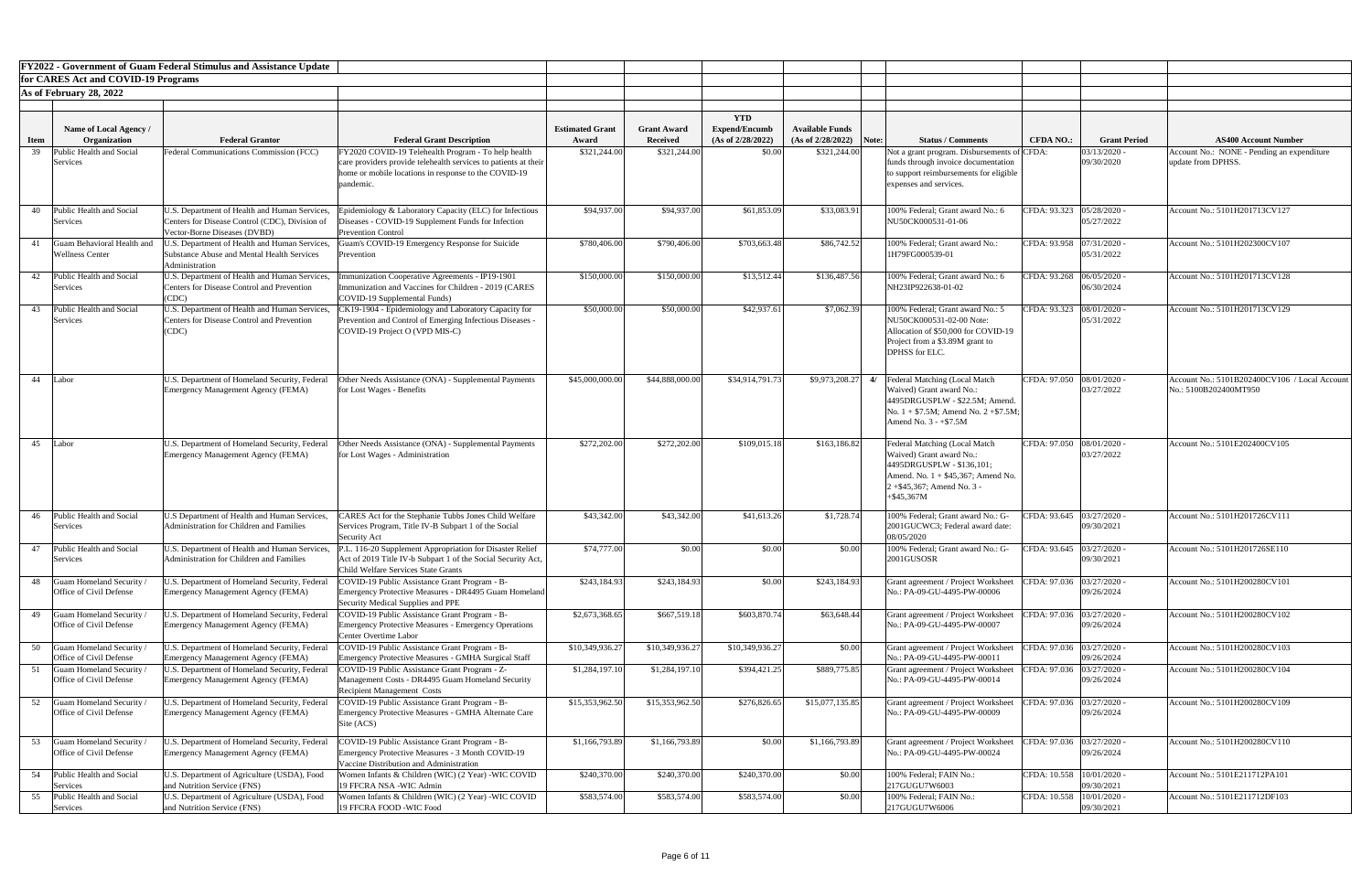|             |                                                     | <b>FY2022 - Government of Guam Federal Stimulus and Assistance Update</b>                          |                                                                                                                        |                        |                    |                      |                           |                                                                                    |                             |                          |                                                                        |
|-------------|-----------------------------------------------------|----------------------------------------------------------------------------------------------------|------------------------------------------------------------------------------------------------------------------------|------------------------|--------------------|----------------------|---------------------------|------------------------------------------------------------------------------------|-----------------------------|--------------------------|------------------------------------------------------------------------|
|             | for CARES Act and COVID-19 Programs                 |                                                                                                    |                                                                                                                        |                        |                    |                      |                           |                                                                                    |                             |                          |                                                                        |
|             | As of February 28, 2022                             |                                                                                                    |                                                                                                                        |                        |                    |                      |                           |                                                                                    |                             |                          |                                                                        |
|             |                                                     |                                                                                                    |                                                                                                                        |                        |                    | <b>YTD</b>           |                           |                                                                                    |                             |                          |                                                                        |
|             | <b>Name of Local Agency /</b>                       |                                                                                                    |                                                                                                                        | <b>Estimated Grant</b> | <b>Grant Award</b> | <b>Expend/Encumb</b> | <b>Available Funds</b>    |                                                                                    |                             |                          |                                                                        |
| <b>Item</b> | Organization                                        | <b>Federal Grantor</b>                                                                             | <b>Federal Grant Description</b>                                                                                       | Award                  | <b>Received</b>    | (As of 2/28/2022)    | $(As of 2/28/2022)$ Note: | <b>Status / Comments</b>                                                           | <b>CFDA NO.:</b>            | <b>Grant Period</b>      | <b>AS400 Account Number</b>                                            |
| 39          | Public Health and Social<br>Services                | Federal Communications Commission (FCC)                                                            | FY2020 COVID-19 Telehealth Program - To help health<br>care providers provide telehealth services to patients at their | \$321,244.00           | \$321,244.00       | \$0.00               | \$321,244.00              | Not a grant program. Disbursements of CFDA:<br>funds through invoice documentation |                             | 03/13/2020<br>09/30/2020 | Account No.: NONE - Pending an expenditure<br>update from DPHSS.       |
|             |                                                     |                                                                                                    | home or mobile locations in response to the COVID-19                                                                   |                        |                    |                      |                           | to support reimbursements for eligible                                             |                             |                          |                                                                        |
|             |                                                     |                                                                                                    | pandemic.                                                                                                              |                        |                    |                      |                           | expenses and services.                                                             |                             |                          |                                                                        |
|             |                                                     |                                                                                                    |                                                                                                                        |                        |                    |                      |                           |                                                                                    |                             |                          |                                                                        |
| 40          | Public Health and Social                            | U.S. Department of Health and Human Services,                                                      | Epidemiology & Laboratory Capacity (ELC) for Infectious                                                                | \$94,937.00            | \$94,937.00        | \$61,853.09          | \$33,083.9                | 100% Federal; Grant award No.: 6                                                   | CFDA: 93.323 05/28/2020 -   |                          | Account No.: 5101H201713CV127                                          |
|             | Services                                            | Centers for Disease Control (CDC), Division of<br>Vector-Borne Diseases (DVBD)                     | Diseases - COVID-19 Supplement Funds for Infection<br><b>Prevention Control</b>                                        |                        |                    |                      |                           | NU50CK000531-01-06                                                                 |                             | 05/27/2022               |                                                                        |
|             | Guam Behavioral Health and                          | U.S. Department of Health and Human Services,                                                      | Guam's COVID-19 Emergency Response for Suicide                                                                         | \$780,406.00           | \$790,406.00       | \$703,663.48         | \$86,742.52               | 100% Federal; Grant award No.:                                                     | CFDA: 93.958 07/31/2020     |                          | Account No.: 5101H202300CV107                                          |
|             | <b>Wellness Center</b>                              | Substance Abuse and Mental Health Services                                                         | Prevention                                                                                                             |                        |                    |                      |                           | 1H79FG000539-01                                                                    |                             | 05/31/2022               |                                                                        |
| 42          | Public Health and Social                            | Administration<br>U.S. Department of Health and Human Services,                                    | nmunization Cooperative Agreements - IP19-1901                                                                         | \$150,000.00           | \$150,000.00       | \$13,512.44          | \$136,487.56              | 100% Federal; Grant award No.: 6                                                   | CFDA: 93.268 06/05/2020 -   |                          | Account No.: 5101H201713CV128                                          |
|             | Services                                            | Centers for Disease Control and Prevention                                                         | mmunization and Vaccines for Children - 2019 (CARES                                                                    |                        |                    |                      |                           | NH23IP922638-01-02                                                                 |                             | 06/30/2024               |                                                                        |
|             |                                                     | (CDC)                                                                                              | COVID-19 Supplemental Funds)                                                                                           |                        |                    |                      |                           |                                                                                    |                             |                          |                                                                        |
| 43          | Public Health and Social<br><b>Services</b>         | U.S. Department of Health and Human Services,<br><b>Centers for Disease Control and Prevention</b> | CK19-1904 - Epidemiology and Laboratory Capacity for<br>Prevention and Control of Emerging Infectious Diseases -       | \$50,000.00            | \$50,000.00        | \$42,937.61          | \$7,062.39                | 100% Federal; Grant award No.: 5<br>NU50CK000531-02-00 Note:                       | CFDA: 93.323                | 08/01/2020<br>05/31/2022 | Account No.: 5101H201713CV129                                          |
|             |                                                     | (CDC)                                                                                              | COVID-19 Project O (VPD MIS-C)                                                                                         |                        |                    |                      |                           | Allocation of \$50,000 for COVID-19                                                |                             |                          |                                                                        |
|             |                                                     |                                                                                                    |                                                                                                                        |                        |                    |                      |                           | Project from a \$3.89M grant to                                                    |                             |                          |                                                                        |
|             |                                                     |                                                                                                    |                                                                                                                        |                        |                    |                      |                           | <b>DPHSS</b> for ELC                                                               |                             |                          |                                                                        |
|             |                                                     |                                                                                                    |                                                                                                                        |                        |                    |                      |                           |                                                                                    |                             |                          |                                                                        |
| 44          | Labor                                               | U.S. Department of Homeland Security, Federal<br>Emergency Management Agency (FEMA)                | Other Needs Assistance (ONA) - Supplemental Payments<br>for Lost Wages - Benefits                                      | \$45,000,000.00        | \$44,888,000.00    | \$34,914,791.73      | \$9,973,208.27            | <b>Federal Matching (Local Match</b><br>Waived) Grant award No.:                   | CFDA: 97.050 08/01/2020     | 03/27/2022               | Account No.: 5101B202400CV106 / Local Account<br>No.: 5100B202400MT950 |
|             |                                                     |                                                                                                    |                                                                                                                        |                        |                    |                      |                           | 4495DRGUSPLW - \$22.5M; Amend.                                                     |                             |                          |                                                                        |
|             |                                                     |                                                                                                    |                                                                                                                        |                        |                    |                      |                           | No. $1 + $7.5M$ ; Amend No. $2 + $7.5M$ ;                                          |                             |                          |                                                                        |
|             |                                                     |                                                                                                    |                                                                                                                        |                        |                    |                      |                           | Amend No. $3 - +\$7.5M$                                                            |                             |                          |                                                                        |
| 45          | Labor                                               | U.S. Department of Homeland Security, Federal                                                      | Other Needs Assistance (ONA) - Supplemental Payments                                                                   | \$272,202.00           | \$272,202.00       | \$109,015.18         | \$163,186.82              | <b>Federal Matching (Local Match)</b>                                              | CFDA: 97.050 08/01/2020     |                          | Account No.: 5101E202400CV105                                          |
|             |                                                     | <b>Emergency Management Agency (FEMA)</b>                                                          | for Lost Wages - Administration                                                                                        |                        |                    |                      |                           | Waived) Grant award No.:<br>4495DRGUSPLW - \$136,101;                              |                             | 03/27/2022               |                                                                        |
|             |                                                     |                                                                                                    |                                                                                                                        |                        |                    |                      |                           | Amend. No. $1 + $45,367$ ; Amend No.                                               |                             |                          |                                                                        |
|             |                                                     |                                                                                                    |                                                                                                                        |                        |                    |                      |                           | $2 + $45,367$ ; Amend No. 3 -                                                      |                             |                          |                                                                        |
|             |                                                     |                                                                                                    |                                                                                                                        |                        |                    |                      |                           | $+$ \$45,367M                                                                      |                             |                          |                                                                        |
| 46          | Public Health and Social                            | U.S Department of Health and Human Services,                                                       | CARES Act for the Stephanie Tubbs Jones Child Welfare                                                                  | \$43,342.00            | \$43,342.00        | \$41,613.26          | \$1,728.74                | 100% Federal; Grant award No.: G-                                                  | CFDA: 93.645 03/27/2020 -   |                          | Account No.: 5101H201726CV111                                          |
|             | Services                                            | Administration for Children and Families                                                           | Services Program, Title IV-B Subpart 1 of the Social<br>Security Act                                                   |                        |                    |                      |                           | 2001GUCWC3; Federal award date:<br>08/05/2020                                      |                             | 09/30/2021               |                                                                        |
|             | Public Health and Social                            | U.S. Department of Health and Human Services,                                                      | P.L. 116-20 Supplement Appropriation for Disaster Relief                                                               | \$74,777.00            | \$0.00             | \$0.00               | \$0.00                    | 100% Federal; Grant award No.: G-                                                  | CFDA: 93.645 03/27/2020 -   |                          | Account No.: 5101H201726SE110                                          |
|             | Services                                            | Administration for Children and Families                                                           | Act of 2019 Title IV-b Subpart 1 of the Social Security Act,                                                           |                        |                    |                      |                           | 2001GUSOSR                                                                         |                             | 09/30/2021               |                                                                        |
| 48          | Guam Homeland Security                              | U.S. Department of Homeland Security, Federal                                                      | <b>Child Welfare Services State Grants</b><br>COVID-19 Public Assistance Grant Program - B-                            | \$243,184.93           | \$243,184.93       | \$0.00               | \$243,184.93              | Grant agreement / Project Worksheet                                                | CFDA: 97.036 03/27/2020 ·   |                          | Account No.: 5101H200280CV101                                          |
|             | Office of Civil Defense                             | Emergency Management Agency (FEMA)                                                                 | Emergency Protective Measures - DR4495 Guam Homeland                                                                   |                        |                    |                      |                           | No.: PA-09-GU-4495-PW-00006                                                        |                             | 09/26/2024               |                                                                        |
|             |                                                     |                                                                                                    | Security Medical Supplies and PPE                                                                                      |                        |                    |                      |                           |                                                                                    |                             |                          |                                                                        |
| 49          | Guam Homeland Security /<br>Office of Civil Defense | J.S. Department of Homeland Security, Federal<br><b>Emergency Management Agency (FEMA)</b>         | COVID-19 Public Assistance Grant Program - B-<br><b>Emergency Protective Measures - Emergency Operations</b>           | \$2,673,368.65         | \$667,519.18       | \$603,870.74         | \$63,648.44               | Grant agreement / Project Worksheet<br>No.: PA-09-GU-4495-PW-00007                 | CFDA: 97.036 03/27/2020 ·   | 09/26/2024               | Account No.: 5101H200280CV102                                          |
|             |                                                     |                                                                                                    | Center Overtime Labor                                                                                                  |                        |                    |                      |                           |                                                                                    |                             |                          |                                                                        |
| 50          | Guam Homeland Security /                            | U.S. Department of Homeland Security, Federal                                                      | COVID-19 Public Assistance Grant Program - B-                                                                          | \$10,349,936.27        | \$10,349,936.2     | \$10,349,936.27      | \$0.00                    | Grant agreement / Project Worksheet                                                | CFDA: 97.036 03/27/2020 -   |                          | Account No.: 5101H200280CV103                                          |
|             | Office of Civil Defense<br>Guam Homeland Security   | <b>Emergency Management Agency (FEMA)</b><br>U.S. Department of Homeland Security, Federal         | Emergency Protective Measures - GMHA Surgical Staff<br>COVID-19 Public Assistance Grant Program - Z-                   | \$1,284,197.10         | \$1,284,197.10     | \$394,421.25         | \$889,775.85              | No.: PA-09-GU-4495-PW-00011<br>Grant agreement / Project Worksheet                 | CFDA: 97.036                | 09/26/2024<br>03/27/2020 | Account No.: 5101H200280CV104                                          |
|             | Office of Civil Defense                             | Emergency Management Agency (FEMA)                                                                 | Management Costs - DR4495 Guam Homeland Security                                                                       |                        |                    |                      |                           | No.: PA-09-GU-4495-PW-00014                                                        |                             | 09/26/2024               |                                                                        |
|             |                                                     |                                                                                                    | <b>Recipient Management Costs</b>                                                                                      |                        |                    |                      |                           |                                                                                    |                             |                          |                                                                        |
| 52          | Juam Homeland Security<br>Office of Civil Defense   | U.S. Department of Homeland Security, Federal<br>Emergency Management Agency (FEMA)                | COVID-19 Public Assistance Grant Program - B-<br>Emergency Protective Measures - GMHA Alternate Care                   | \$15,353,962.50        | \$15,353,962.50    | \$276,826.65         | \$15,077,135.85           | Grant agreement / Project Worksheet<br>No.: PA-09-GU-4495-PW-00009                 | CFDA: 97.036 03/27/2020 -   | 09/26/2024               | Account No.: 5101H200280CV109                                          |
|             |                                                     |                                                                                                    | Site (ACS)                                                                                                             |                        |                    |                      |                           |                                                                                    |                             |                          |                                                                        |
| 53          | Guam Homeland Security                              | U.S. Department of Homeland Security, Federal                                                      | COVID-19 Public Assistance Grant Program - B-                                                                          | \$1,166,793.89         | \$1,166,793.89     | \$0.00               | \$1,166,793.89            | Grant agreement / Project Worksheet                                                | CFDA: 97.036 03/27/2020 -   |                          | Account No.: 5101H200280CV110                                          |
|             | Office of Civil Defense                             | Emergency Management Agency (FEMA)                                                                 | Emergency Protective Measures - 3 Month COVID-19                                                                       |                        |                    |                      |                           | No.: PA-09-GU-4495-PW-00024                                                        |                             | 09/26/2024               |                                                                        |
|             |                                                     |                                                                                                    | Vaccine Distribution and Administration                                                                                |                        |                    |                      |                           |                                                                                    |                             |                          |                                                                        |
|             | 54 Public Health and Social<br>Services             | U.S. Department of Agriculture (USDA), Food<br>and Nutrition Service (FNS)                         | Women Infants & Children (WIC) (2 Year) -WIC COVID<br>19 FFCRA NSA -WIC Admin                                          | \$240,370.00           | \$240,370.00       | \$240,370.00         | \$0.00                    | 100% Federal; FAIN No.:<br>217GUGU7W6003                                           | CFDA: 10.558   10/01/2020 - | 09/30/2021               | Account No.: 5101E211712PA101                                          |
|             | Public Health and Social                            | U.S. Department of Agriculture (USDA), Food                                                        | Women Infants & Children (WIC) (2 Year) -WIC COVID                                                                     | \$583,574.00           | \$583,574.00       | \$583,574.00         | \$0.00                    | 100% Federal; FAIN No.:                                                            | CFDA: 10.558 10/01/2020     |                          | Account No.: 5101E211712DF103                                          |
|             | Services                                            | and Nutrition Service (FNS)                                                                        | 19 FFCRA FOOD -WIC Food                                                                                                |                        |                    |                      |                           | 217GUGU7W6006                                                                      |                             | 09/30/2021               |                                                                        |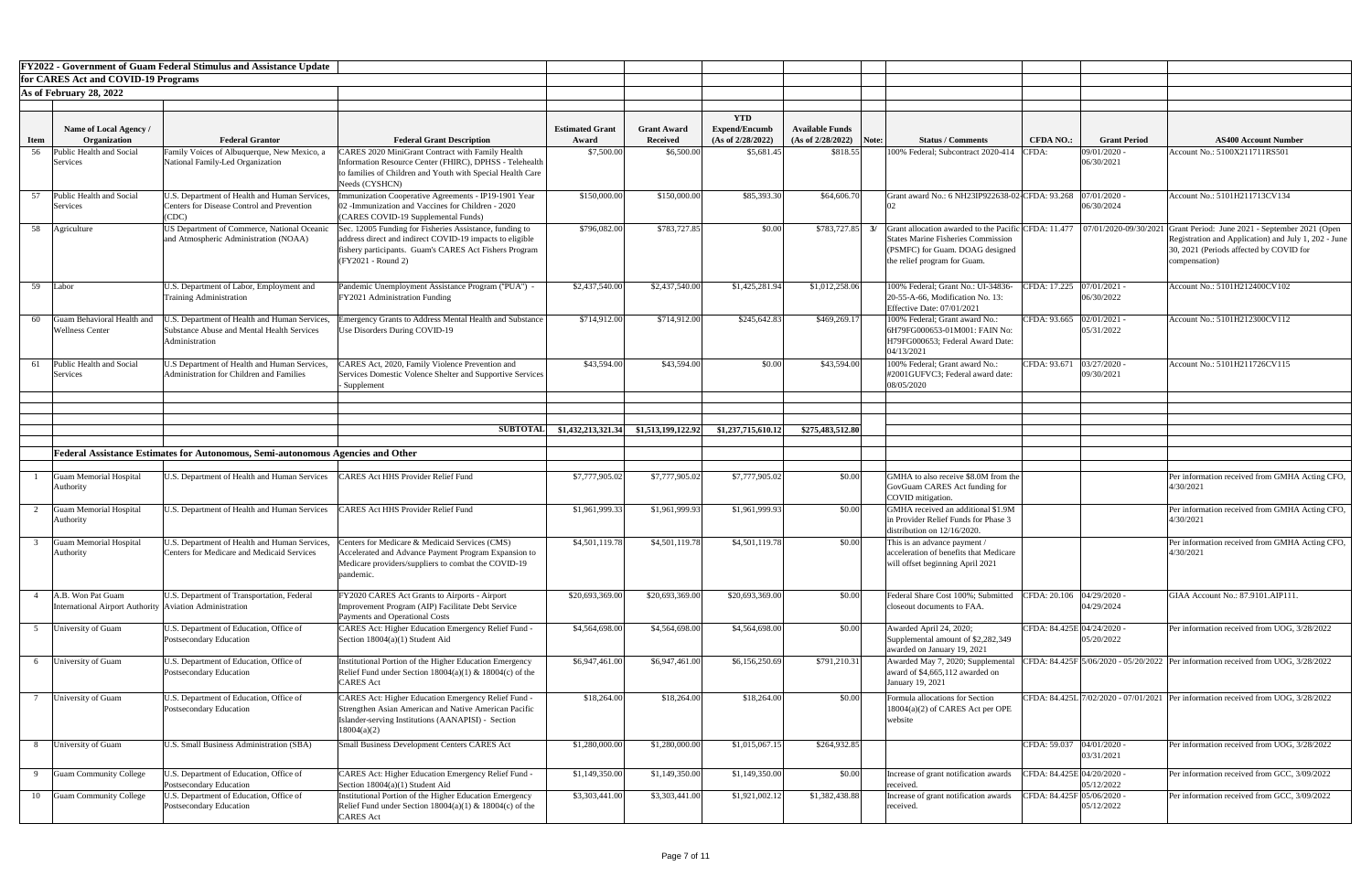|             |                                                                                | <b>FY2022 - Government of Guam Federal Stimulus and Assistance Update</b>                                     |                                                                                                                                                                                                     |                        |                                       |                                    |                        |       |                                                                                                                   |                            |                              |                                                                                                                                                                                                                                                 |
|-------------|--------------------------------------------------------------------------------|---------------------------------------------------------------------------------------------------------------|-----------------------------------------------------------------------------------------------------------------------------------------------------------------------------------------------------|------------------------|---------------------------------------|------------------------------------|------------------------|-------|-------------------------------------------------------------------------------------------------------------------|----------------------------|------------------------------|-------------------------------------------------------------------------------------------------------------------------------------------------------------------------------------------------------------------------------------------------|
|             | for CARES Act and COVID-19 Programs                                            |                                                                                                               |                                                                                                                                                                                                     |                        |                                       |                                    |                        |       |                                                                                                                   |                            |                              |                                                                                                                                                                                                                                                 |
|             | As of February 28, 2022                                                        |                                                                                                               |                                                                                                                                                                                                     |                        |                                       |                                    |                        |       |                                                                                                                   |                            |                              |                                                                                                                                                                                                                                                 |
|             |                                                                                |                                                                                                               |                                                                                                                                                                                                     |                        |                                       |                                    |                        |       |                                                                                                                   |                            |                              |                                                                                                                                                                                                                                                 |
|             | Name of Local Agency /                                                         |                                                                                                               |                                                                                                                                                                                                     | <b>Estimated Grant</b> |                                       | <b>YTD</b><br><b>Expend/Encumb</b> | <b>Available Funds</b> |       |                                                                                                                   |                            |                              |                                                                                                                                                                                                                                                 |
| <b>Item</b> | <b>Organization</b>                                                            | <b>Federal Grantor</b>                                                                                        | <b>Federal Grant Description</b>                                                                                                                                                                    | Award                  | <b>Grant Award</b><br><b>Received</b> | (As of 2/28/2022)                  | (As of 2/28/2022)      | Note: | <b>Status / Comments</b>                                                                                          | <b>CFDA NO.:</b>           | <b>Grant Period</b>          | <b>AS400 Account Number</b>                                                                                                                                                                                                                     |
| 56          | Public Health and Social                                                       | Family Voices of Albuquerque, New Mexico, a                                                                   | <b>LARES 2020 MiniGrant Contract with Family Health</b>                                                                                                                                             | \$7,500.00             | \$6,500.00                            | \$5,681.45                         | \$818.55               |       | 100% Federal; Subcontract 2020-414                                                                                | CFDA:                      | 09/01/2020 -                 | Account No.: 5100X211711RS501                                                                                                                                                                                                                   |
|             | <b>Services</b>                                                                | National Family-Led Organization                                                                              | Information Resource Center (FHIRC), DPHSS - Telehealth<br>o families of Children and Youth with Special Health Care<br>Needs (CYSHCN)                                                              |                        |                                       |                                    |                        |       |                                                                                                                   |                            | 06/30/2021                   |                                                                                                                                                                                                                                                 |
| 57          | Public Health and Social<br>Services                                           | U.S. Department of Health and Human Services,<br><b>Centers for Disease Control and Prevention</b><br>(CDC)   | munization Cooperative Agreements - IP19-1901 Year<br>2 - Immunization and Vaccines for Children - 2020<br><b>CARES COVID-19 Supplemental Funds)</b>                                                | \$150,000.00           | \$150,000.0                           | \$85,393.30                        | \$64,606.70            |       | Grant award No.: 6 NH23IP922638-02 CFDA: 93.268                                                                   |                            | 07/01/2020<br>06/30/2024     | Account No.: 5101H211713CV134                                                                                                                                                                                                                   |
|             | 58   Agriculture                                                               | US Department of Commerce, National Oceanic<br>and Atmospheric Administration (NOAA)                          | Sec. 12005 Funding for Fisheries Assistance, funding to<br>address direct and indirect COVID-19 impacts to eligible<br>fishery participants. Guam's CARES Act Fishers Program<br>(FY2021 - Round 2) | \$796,082.00           | \$783,727.85                          | \$0.00                             | \$783,727.85           | 3/    | <b>States Marine Fisheries Commission</b><br>(PSMFC) for Guam. DOAG designed<br>the relief program for Guam.      |                            |                              | Grant allocation awarded to the Pacific CFDA: 11.477   07/01/2020-09/30/2021 Grant Period: June 2021 - September 2021 (Open<br>Registration and Application) and July 1, 202 - June<br>30, 2021 (Periods affected by COVID for<br>compensation) |
| 59          | Labor                                                                          | U.S. Department of Labor, Employment and<br><b>Training Administration</b>                                    | Pandemic Unemployment Assistance Program ("PUA") -<br>FY2021 Administration Funding                                                                                                                 | \$2,437,540.00         | \$2,437,540.00                        | \$1,425,281.94                     | \$1,012,258.06         |       | 100% Federal; Grant No.: UI-34836-<br>20-55-A-66, Modification No. 13:<br>Effective Date: 07/01/2021              | <b>FDA: 17.225</b>         | $07/01/2021$ -<br>06/30/2022 | Account No.: 5101H212400CV102                                                                                                                                                                                                                   |
| 60          | Guam Behavioral Health and<br><b>Wellness Center</b>                           | J.S. Department of Health and Human Services,<br>Substance Abuse and Mental Health Services<br>Administration | mergency Grants to Address Mental Health and Substance<br>Use Disorders During COVID-19                                                                                                             | \$714,912.00           | \$714,912.00                          | \$245,642.83                       | \$469,269.17           |       | 100% Federal; Grant award No.:<br>6H79FG000653-01M001: FAIN No:<br>H79FG000653; Federal Award Date:<br>04/13/2021 | CFDA: 93.665 02/01/2021 -  | 05/31/2022                   | Account No.: 5101H212300CV112                                                                                                                                                                                                                   |
|             | 61 Public Health and Social<br>Services                                        | U.S Department of Health and Human Services,<br>Administration for Children and Families                      | ARES Act, 2020, Family Violence Prevention and<br>Services Domestic Volence Shelter and Supportive Services<br>- Supplement                                                                         | \$43,594.00            | \$43,594.0                            | \$0.00                             | \$43,594.00            |       | 100% Federal; Grant award No.:<br>#2001GUFVC3; Federal award date:<br>08/05/2020                                  | CFDA: 93.671               | $03/27/2020$ -<br>09/30/2021 | Account No.: 5101H211726CV115                                                                                                                                                                                                                   |
|             |                                                                                |                                                                                                               |                                                                                                                                                                                                     |                        |                                       |                                    |                        |       |                                                                                                                   |                            |                              |                                                                                                                                                                                                                                                 |
|             |                                                                                |                                                                                                               |                                                                                                                                                                                                     |                        |                                       |                                    |                        |       |                                                                                                                   |                            |                              |                                                                                                                                                                                                                                                 |
|             |                                                                                |                                                                                                               | <b>SUBTOTAI</b>                                                                                                                                                                                     | \$1,432,213,321.34     | \$1,513,199,122.92                    | \$1,237,715,610.12                 | \$275,483,512.80       |       |                                                                                                                   |                            |                              |                                                                                                                                                                                                                                                 |
|             |                                                                                | Federal Assistance Estimates for Autonomous, Semi-autonomous Agencies and Other                               |                                                                                                                                                                                                     |                        |                                       |                                    |                        |       |                                                                                                                   |                            |                              |                                                                                                                                                                                                                                                 |
|             | Guam Memorial Hospital<br>Authority                                            | U.S. Department of Health and Human Services                                                                  | CARES Act HHS Provider Relief Fund                                                                                                                                                                  | \$7,777,905.02         | \$7,777,905.02                        | \$7,777,905.02                     | \$0.00                 |       | GMHA to also receive \$8.0M from the<br>GovGuam CARES Act funding for<br>COVID mitigation.                        |                            |                              | Per information received from GMHA Acting CFO,<br>4/30/2021                                                                                                                                                                                     |
|             | Guam Memorial Hospital                                                         | U.S. Department of Health and Human Services                                                                  | <b>LARES Act HHS Provider Relief Fund</b>                                                                                                                                                           | \$1,961,999.33         | \$1,961,999.93                        | \$1,961,999.93                     | \$0.00                 |       | GMHA received an additional \$1.9M                                                                                |                            |                              | Per information received from GMHA Acting CFO,                                                                                                                                                                                                  |
|             | Authority                                                                      |                                                                                                               |                                                                                                                                                                                                     |                        |                                       |                                    |                        |       | in Provider Relief Funds for Phase 3<br>distribution on 12/16/2020.                                               |                            |                              | 4/30/2021                                                                                                                                                                                                                                       |
|             | Guam Memorial Hospital<br>Authority                                            | U.S. Department of Health and Human Services,<br><b>Centers for Medicare and Medicaid Services</b>            | Centers for Medicare & Medicaid Services (CMS)<br>Accelerated and Advance Payment Program Expansion to<br>Medicare providers/suppliers to combat the COVID-19<br>pandemic                           | \$4,501,119.78         | \$4,501,119.78                        | \$4,501,119.78                     | \$0.00                 |       | This is an advance payment /<br>acceleration of benefits that Medicare<br>will offset beginning April 2021        |                            |                              | Per information received from GMHA Acting CFO,<br>4/30/2021                                                                                                                                                                                     |
|             | A.B. Won Pat Guam<br>International Airport Authority   Aviation Administration | U.S. Department of Transportation, Federal                                                                    | FY2020 CARES Act Grants to Airports - Airport<br>mprovement Program (AIP) Facilitate Debt Service<br><b>Payments and Operational Costs</b>                                                          | \$20,693,369.00        | \$20,693,369.00                       | \$20,693,369.00                    | \$0.00                 |       | Federal Share Cost 100%; Submitted<br>closeout documents to FAA.                                                  | CFDA: 20.106 04/29/2020 -  | 04/29/2024                   | GIAA Account No.: 87.9101.AIP111.                                                                                                                                                                                                               |
|             | University of Guam                                                             | U.S. Department of Education, Office of<br>Postsecondary Education                                            | CARES Act: Higher Education Emergency Relief Fund -<br>Section $18004(a)(1)$ Student Aid                                                                                                            | \$4,564,698.00         | \$4,564,698.00                        | \$4,564,698.00                     | \$0.00                 |       | Awarded April 24, 2020;<br>Supplemental amount of \$2,282,349<br>awarded on January 19, 2021                      | CFDA: 84.425E 04/24/2020 - | 05/20/2022                   | Per information received from UOG, 3/28/2022                                                                                                                                                                                                    |
|             | University of Guam                                                             | U.S. Department of Education, Office of<br>Postsecondary Education                                            | Institutional Portion of the Higher Education Emergency<br>Relief Fund under Section $18004(a)(1)$ & $18004(c)$ of the<br>CARES Act                                                                 | \$6,947,461.00         | \$6,947,461.00                        | \$6,156,250.69                     | \$791,210.31           |       | Awarded May 7, 2020; Supplemental<br>award of $$4,665,112$ awarded on<br>January 19, 2021                         |                            |                              | CFDA: 84.425F 5/06/2020 - 05/20/2022 Per information received from UOG, 3/28/2022                                                                                                                                                               |
|             | University of Guam                                                             | U.S. Department of Education, Office of<br>Postsecondary Education                                            | CARES Act: Higher Education Emergency Relief Fund -<br>Strengthen Asian American and Native American Pacific<br>slander-serving Institutions (AANAPISI) - Section<br>18004(a)(2)                    | \$18,264.00            | \$18,264.00                           | \$18,264.00                        | \$0.00                 |       | Formula allocations for Section<br>18004(a)(2) of CARES Act per OPE<br>website                                    |                            |                              | CFDA: 84.425L 7/02/2020 - 07/01/2021 Per information received from UOG, 3/28/2022                                                                                                                                                               |
| 8           | University of Guam                                                             | U.S. Small Business Administration (SBA)                                                                      | Small Business Development Centers CARES Act                                                                                                                                                        | \$1,280,000.00         | \$1,280,000.00                        | \$1,015,067.15                     | \$264,932.85           |       |                                                                                                                   | CFDA: 59.037 04/01/2020 -  | 03/31/2021                   | Per information received from UOG, 3/28/2022                                                                                                                                                                                                    |
|             | <b>Guam Community College</b>                                                  | J.S. Department of Education, Office of<br>Postsecondary Education                                            | CARES Act: Higher Education Emergency Relief Fund -<br>Section $18004(a)(1)$ Student Aid                                                                                                            | \$1,149,350.00         | \$1,149,350.00                        | \$1,149,350.00                     | \$0.00                 |       | Increase of grant notification awards<br>received.                                                                | CFDA: 84.425E 04/20/2020 - | 05/12/2022                   | Per information received from GCC, 3/09/2022                                                                                                                                                                                                    |
| 10          | <b>Guam Community College</b>                                                  | J.S. Department of Education, Office of<br>Postsecondary Education                                            | Institutional Portion of the Higher Education Emergency<br>Relief Fund under Section $18004(a)(1)$ & $18004(c)$ of the<br><b>CARES</b> Act                                                          | \$3,303,441.00         | \$3,303,441.00                        | \$1,921,002.12                     | \$1,382,438.88         |       | Increase of grant notification awards<br>received.                                                                | CFDA: 84.425F 05/06/2020 - | 05/12/2022                   | Per information received from GCC, 3/09/2022                                                                                                                                                                                                    |

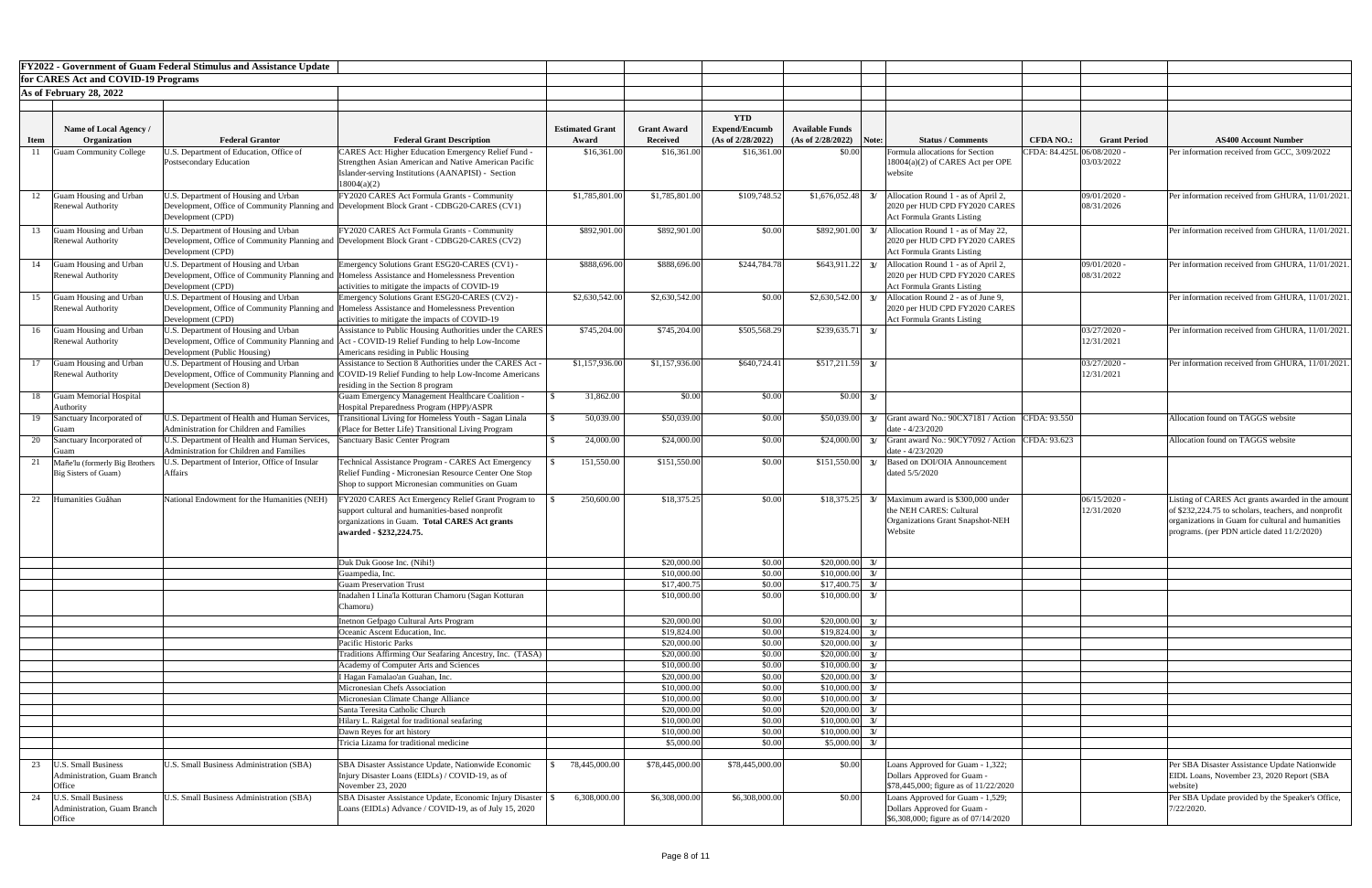|             |                                                           | <b>FY2022 - Government of Guam Federal Stimulus and Assistance Update</b>                        |                                                                                                                                                |                        |                            |                                    |                            |          |                                                                        |                            |                          |                                                                                                           |
|-------------|-----------------------------------------------------------|--------------------------------------------------------------------------------------------------|------------------------------------------------------------------------------------------------------------------------------------------------|------------------------|----------------------------|------------------------------------|----------------------------|----------|------------------------------------------------------------------------|----------------------------|--------------------------|-----------------------------------------------------------------------------------------------------------|
|             | for CARES Act and COVID-19 Programs                       |                                                                                                  |                                                                                                                                                |                        |                            |                                    |                            |          |                                                                        |                            |                          |                                                                                                           |
|             | As of February 28, 2022                                   |                                                                                                  |                                                                                                                                                |                        |                            |                                    |                            |          |                                                                        |                            |                          |                                                                                                           |
|             |                                                           |                                                                                                  |                                                                                                                                                |                        |                            |                                    |                            |          |                                                                        |                            |                          |                                                                                                           |
|             | Name of Local Agency /                                    |                                                                                                  |                                                                                                                                                | <b>Estimated Grant</b> | <b>Grant Award</b>         | <b>YTD</b><br><b>Expend/Encumb</b> | <b>Available Funds</b>     |          |                                                                        |                            |                          |                                                                                                           |
| <b>Item</b> | <b>Organization</b>                                       | <b>Federal Grantor</b>                                                                           | <b>Federal Grant Description</b>                                                                                                               | Award                  | <b>Received</b>            | (As of 2/28/2022)                  | (As of 2/28/2022)          | Note:    | <b>Status / Comments</b>                                               | <b>CFDA NO.:</b>           | <b>Grant Period</b>      | <b>AS400 Account Number</b>                                                                               |
|             | <b>Guam Community College</b>                             | I.S. Department of Education, Office of                                                          | <b>CARES Act: Higher Education Emergency Relief Fund -</b>                                                                                     | \$16,361.00            | \$16,361.00                | \$16,361.00                        | \$0.00                     |          | Formula allocations for Section                                        | CFDA: 84.425L 06/08/2020 · |                          | Per information received from GCC, 3/09/2022                                                              |
|             |                                                           | Postsecondary Education                                                                          | Strengthen Asian American and Native American Pacific                                                                                          |                        |                            |                                    |                            |          | $18004(a)(2)$ of CARES Act per OPE                                     |                            | 03/03/2022               |                                                                                                           |
|             |                                                           |                                                                                                  | Islander-serving Institutions (AANAPISI) - Section                                                                                             |                        |                            |                                    |                            |          | website                                                                |                            |                          |                                                                                                           |
| 12          | <b>Guam Housing and Urban</b>                             | J.S. Department of Housing and Urban                                                             | 18004(a)(2)<br>FY2020 CARES Act Formula Grants - Community                                                                                     | \$1,785,801.00         | \$1,785,801.00             | \$109,748.52                       | \$1,676,052.48             |          | Allocation Round 1 - as of April 2,                                    |                            | 09/01/2020 -             | Per information received from GHURA, 11/01/202                                                            |
|             | <b>Renewal Authority</b>                                  |                                                                                                  | Development, Office of Community Planning and Development Block Grant - CDBG20-CARES (CV1)                                                     |                        |                            |                                    |                            |          | 2020 per HUD CPD FY2020 CARES                                          |                            | 08/31/2026               |                                                                                                           |
|             |                                                           | Development (CPD)                                                                                |                                                                                                                                                |                        |                            |                                    |                            |          | <b>Act Formula Grants Listing</b>                                      |                            |                          |                                                                                                           |
| 13          | Guam Housing and Urban                                    | J.S. Department of Housing and Urban                                                             | FY2020 CARES Act Formula Grants - Community                                                                                                    | \$892,901.00           | \$892,901.00               | \$0.00                             | \$892,901.00               |          | Allocation Round 1 - as of May 22,                                     |                            |                          | Per information received from GHURA, 11/01/202                                                            |
|             | <b>Renewal Authority</b>                                  |                                                                                                  | Development, Office of Community Planning and Development Block Grant - CDBG20-CARES (CV2)                                                     |                        |                            |                                    |                            |          | 2020 per HUD CPD FY2020 CARES                                          |                            |                          |                                                                                                           |
|             |                                                           | Development (CPD)                                                                                |                                                                                                                                                |                        |                            |                                    |                            |          | <b>Act Formula Grants Listing</b>                                      |                            |                          | Per information received from GHURA, 11/01/202                                                            |
| 14          | Guam Housing and Urban<br>Renewal Authority               | U.S. Department of Housing and Urban                                                             | Emergency Solutions Grant ESG20-CARES (CV1) -<br>Development, Office of Community Planning and Homeless Assistance and Homelessness Prevention | \$888,696.00           | \$888,696.00               | \$244,784.78                       | \$643,911.22               |          | Allocation Round 1 - as of April 2,<br>2020 per HUD CPD FY2020 CARES   |                            | 09/01/2020<br>08/31/2022 |                                                                                                           |
|             |                                                           | Development (CPD)                                                                                | activities to mitigate the impacts of COVID-19                                                                                                 |                        |                            |                                    |                            |          | <b>Act Formula Grants Listing</b>                                      |                            |                          |                                                                                                           |
| 15          | Guam Housing and Urban                                    | J.S. Department of Housing and Urban                                                             | Emergency Solutions Grant ESG20-CARES (CV2) -                                                                                                  | \$2,630,542.00         | \$2,630,542.00             | \$0.00                             | \$2,630,542.00             |          | Allocation Round 2 - as of June 9,                                     |                            |                          | Per information received from GHURA, 11/01/202                                                            |
|             | <b>Renewal Authority</b>                                  |                                                                                                  | Development, Office of Community Planning and Homeless Assistance and Homelessness Prevention                                                  |                        |                            |                                    |                            |          | 2020 per HUD CPD FY2020 CARES                                          |                            |                          |                                                                                                           |
| 16          | Guam Housing and Urban                                    | Development (CPD)<br>U.S. Department of Housing and Urban                                        | activities to mitigate the impacts of COVID-19<br>Assistance to Public Housing Authorities under the CARES                                     | \$745,204.00           | \$745,204.00               | \$505,568.29                       | \$239,635.71               |          | <b>Act Formula Grants Listing</b>                                      |                            | 03/27/2020 -             | Per information received from GHURA, 11/01/202                                                            |
|             | <b>Renewal Authority</b>                                  |                                                                                                  | Development, Office of Community Planning and Act - COVID-19 Relief Funding to help Low-Income                                                 |                        |                            |                                    |                            |          |                                                                        |                            | 12/31/2021               |                                                                                                           |
|             |                                                           | Development (Public Housing)                                                                     | Americans residing in Public Housing                                                                                                           |                        |                            |                                    |                            |          |                                                                        |                            |                          |                                                                                                           |
| 17          | Guam Housing and Urban                                    | J.S. Department of Housing and Urban                                                             | Assistance to Section 8 Authorities under the CARES Act -                                                                                      | \$1,157,936.00         | \$1,157,936.00             | \$640,724.41                       | \$517,211.59               |          |                                                                        |                            | 03/27/2020               | Per information received from GHURA, 11/01/202                                                            |
|             | <b>Renewal Authority</b>                                  | Development (Section 8)                                                                          | Development, Office of Community Planning and COVID-19 Relief Funding to help Low-Income Americans<br>residing in the Section 8 program        |                        |                            |                                    |                            |          |                                                                        |                            | 12/31/2021               |                                                                                                           |
|             | 18 Guam Memorial Hospital                                 |                                                                                                  | <b>Guam Emergency Management Healthcare Coalition -</b>                                                                                        | 31,862.00              | \$0.00                     | \$0.00                             | \$0.00                     |          |                                                                        |                            |                          |                                                                                                           |
|             | Authority                                                 |                                                                                                  | Hospital Preparedness Program (HPP)/ASPR                                                                                                       |                        |                            |                                    |                            |          |                                                                        |                            |                          |                                                                                                           |
| 19          | Sanctuary Incorporated of                                 | J.S. Department of Health and Human Services,                                                    | Transitional Living for Homeless Youth - Sagan Linala                                                                                          | 50,039.00              | \$50,039.00                | \$0.00                             | \$50,039.00                |          | $3/$ Grant award No.: 90CX7181 / Action CFDA: 93.550                   |                            |                          | Allocation found on TAGGS website                                                                         |
|             | Guan                                                      | <b>Administration for Children and Families</b>                                                  | (Place for Better Life) Transitional Living Program                                                                                            |                        |                            |                                    |                            |          | date - 4/23/2020                                                       |                            |                          |                                                                                                           |
| 20          | Sanctuary Incorporated of<br>Guan                         | U.S. Department of Health and Human Services,<br><b>Administration for Children and Families</b> | Sanctuary Basic Center Program                                                                                                                 | 24,000.00              | \$24,000.00                | \$0.00                             | \$24,000.00                |          | Grant award No.: 90CY7092 / Action CFDA: 93.623<br>date - 4/23/2020    |                            |                          | Allocation found on TAGGS website                                                                         |
|             | Mañe'lu (formerly Big Brothers                            | J.S. Department of Interior, Office of Insular                                                   | Technical Assistance Program - CARES Act Emergency                                                                                             | 151,550.00             | \$151,550.00               | \$0.00                             | \$151,550.00               |          | Based on DOI/OIA Announcement                                          |                            |                          |                                                                                                           |
|             | Big Sisters of Guam)                                      | Affairs                                                                                          | Relief Funding - Micronesian Resource Center One Stop                                                                                          |                        |                            |                                    |                            |          | dated 5/5/2020                                                         |                            |                          |                                                                                                           |
|             |                                                           |                                                                                                  | Shop to support Micronesian communities on Guam                                                                                                |                        |                            |                                    |                            |          |                                                                        |                            |                          |                                                                                                           |
|             | 22 Humanities Guåhan                                      | National Endowment for the Humanities (NEH)                                                      | FY2020 CARES Act Emergency Relief Grant Program to                                                                                             | 250,600.00             | \$18,375.25                | \$0.00                             | \$18,375.25                |          | Maximum award is \$300,000 under                                       |                            | 06/15/2020               | Listing of CARES Act grants awarded in the amoun                                                          |
|             |                                                           |                                                                                                  | support cultural and humanities-based nonprofit<br>organizations in Guam. Total CARES Act grants                                               |                        |                            |                                    |                            |          | the NEH CARES: Cultural<br>Organizations Grant Snapshot-NEH            |                            | 12/31/2020               | of \$232,224.75 to scholars, teachers, and nonprofit<br>organizations in Guam for cultural and humanities |
|             |                                                           |                                                                                                  | awarded - \$232,224.75.                                                                                                                        |                        |                            |                                    |                            |          | Website                                                                |                            |                          | programs. (per PDN article dated 11/2/2020)                                                               |
|             |                                                           |                                                                                                  |                                                                                                                                                |                        |                            |                                    |                            |          |                                                                        |                            |                          |                                                                                                           |
|             |                                                           |                                                                                                  | Duk Duk Goose Inc. (Nihi!)                                                                                                                     |                        | \$20,000.00                | \$0.00                             | \$20,000.00                | 3/       |                                                                        |                            |                          |                                                                                                           |
|             |                                                           |                                                                                                  | Guampedia, Inc.                                                                                                                                |                        | \$10,000.0                 | \$0.00                             | \$10,000.00                | 3/       |                                                                        |                            |                          |                                                                                                           |
|             |                                                           |                                                                                                  | <b>Guam Preservation Trust</b>                                                                                                                 |                        | \$17,400.7                 | \$0.00                             | \$17,400.75                | 3/       |                                                                        |                            |                          |                                                                                                           |
|             |                                                           |                                                                                                  | Inadahen I Lina'la Kotturan Chamoru (Sagan Kotturan                                                                                            |                        | \$10,000.0                 | \$0.00                             | \$10,000.00                |          |                                                                        |                            |                          |                                                                                                           |
|             |                                                           |                                                                                                  | Chamoru)                                                                                                                                       |                        |                            |                                    |                            |          |                                                                        |                            |                          |                                                                                                           |
|             |                                                           |                                                                                                  | Inetnon Gefpago Cultural Arts Program<br>Oceanic Ascent Education, Inc.                                                                        |                        | \$20,000.00<br>\$19,824.00 | \$0.00<br>\$0.00                   | \$20,000.00<br>\$19,824.00 | 3/<br>3/ |                                                                        |                            |                          |                                                                                                           |
|             |                                                           |                                                                                                  | Pacific Historic Parks                                                                                                                         |                        | \$20,000.0                 | \$0.00                             | \$20,000.00                |          |                                                                        |                            |                          |                                                                                                           |
|             |                                                           |                                                                                                  | Traditions Affirming Our Seafaring Ancestry, Inc. (TASA)                                                                                       |                        | \$20,000.00                | \$0.00                             | \$20,000.00                |          |                                                                        |                            |                          |                                                                                                           |
|             |                                                           |                                                                                                  | Academy of Computer Arts and Sciences                                                                                                          |                        | \$10,000.0                 | \$0.00                             | \$10,000.00                | 3/       |                                                                        |                            |                          |                                                                                                           |
|             |                                                           |                                                                                                  | I Hagan Famalao'an Guahan, Inc.                                                                                                                |                        | \$20,000.0                 | \$0.00                             | \$20,000.00                | 3/       |                                                                        |                            |                          |                                                                                                           |
|             |                                                           |                                                                                                  | Micronesian Chefs Association<br>Micronesian Climate Change Alliance                                                                           |                        | \$10,000.00<br>\$10,000.00 | \$0.00<br>\$0.00                   | \$10,000.00<br>\$10,000.00 | 3/<br>3/ |                                                                        |                            |                          |                                                                                                           |
|             |                                                           |                                                                                                  | Santa Teresita Catholic Church                                                                                                                 |                        | \$20,000.00                | \$0.00                             | \$20,000.00                | 3/       |                                                                        |                            |                          |                                                                                                           |
|             |                                                           |                                                                                                  | Hilary L. Raigetal for traditional seafaring                                                                                                   |                        | \$10,000.00                | \$0.00                             | \$10,000.00                | 3/       |                                                                        |                            |                          |                                                                                                           |
|             |                                                           |                                                                                                  | Dawn Reyes for art history                                                                                                                     |                        | \$10,000.00                | \$0.00                             | \$10,000.00                | 3/       |                                                                        |                            |                          |                                                                                                           |
|             |                                                           |                                                                                                  | Tricia Lizama for traditional medicine                                                                                                         |                        | \$5,000.00                 | \$0.00                             | \$5,000.00                 |          |                                                                        |                            |                          |                                                                                                           |
| 23          | <b>U.S. Small Business</b>                                | <b>J.S. Small Business Administration (SBA)</b>                                                  | SBA Disaster Assistance Update, Nationwide Economic                                                                                            | 78,445,000.00          | \$78,445,000.00            | \$78,445,000.00                    | \$0.00                     |          | Loans Approved for Guam - 1,322;                                       |                            |                          | Per SBA Disaster Assistance Update Nationwide                                                             |
|             | Administration, Guam Branch                               |                                                                                                  | Injury Disaster Loans (EIDLs) / COVID-19, as of                                                                                                |                        |                            |                                    |                            |          | Dollars Approved for Guam -                                            |                            |                          | EIDL Loans, November 23, 2020 Report (SBA                                                                 |
|             | Office                                                    |                                                                                                  | November 23, 2020                                                                                                                              |                        |                            |                                    |                            |          | $\frac{\$78,445,000;$ figure as of $\frac{11}{22/2020}$                |                            |                          | website)                                                                                                  |
| 24          | <b>U.S. Small Business</b><br>Administration, Guam Branch | <b>J.S. Small Business Administration (SBA)</b>                                                  | SBA Disaster Assistance Update, Economic Injury Disaster                                                                                       | 6,308,000.00           | \$6,308,000.00             | \$6,308,000.00                     | \$0.00                     |          | Loans Approved for Guam - 1,529;                                       |                            |                          | Per SBA Update provided by the Speaker's Office,                                                          |
|             | Office                                                    |                                                                                                  | Loans (EIDLs) Advance / COVID-19, as of July 15, 2020                                                                                          |                        |                            |                                    |                            |          | Dollars Approved for Guam -<br>$\$6,308,000$ ; figure as of 07/14/2020 |                            |                          | 7/22/2020.                                                                                                |
|             |                                                           |                                                                                                  |                                                                                                                                                |                        |                            |                                    |                            |          |                                                                        |                            |                          |                                                                                                           |

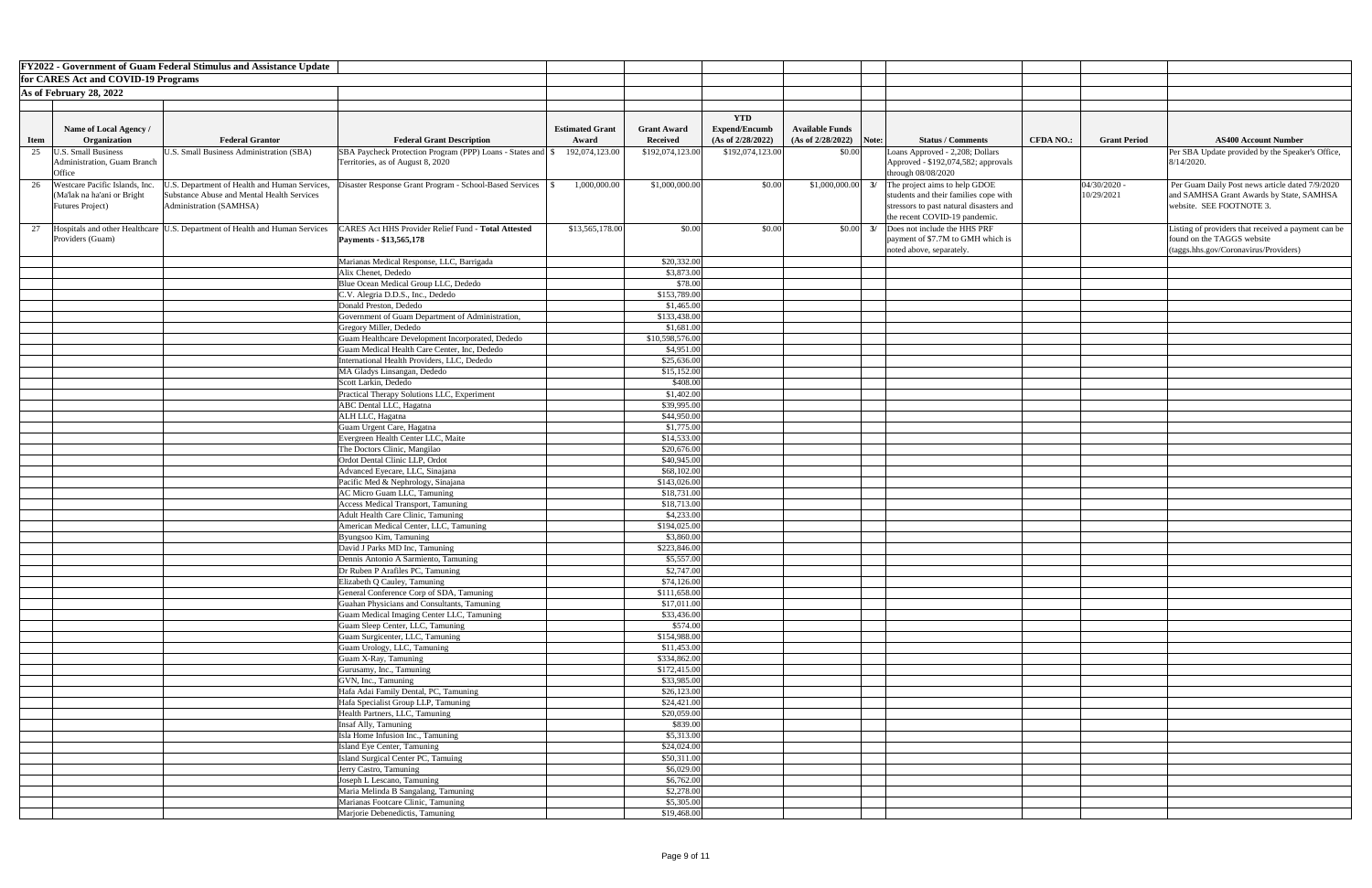|             |                                       | <b>FY2022 - Government of Guam Federal Stimulus and Assistance Update</b>    |                                                                       |                        |                              |                      |                                                                          |                                                             |                  |                     |                                                     |
|-------------|---------------------------------------|------------------------------------------------------------------------------|-----------------------------------------------------------------------|------------------------|------------------------------|----------------------|--------------------------------------------------------------------------|-------------------------------------------------------------|------------------|---------------------|-----------------------------------------------------|
|             | for CARES Act and COVID-19 Programs   |                                                                              |                                                                       |                        |                              |                      |                                                                          |                                                             |                  |                     |                                                     |
|             | As of February 28, 2022               |                                                                              |                                                                       |                        |                              |                      |                                                                          |                                                             |                  |                     |                                                     |
|             |                                       |                                                                              |                                                                       |                        |                              |                      |                                                                          |                                                             |                  |                     |                                                     |
|             |                                       |                                                                              |                                                                       |                        |                              | <b>YTD</b>           |                                                                          |                                                             |                  |                     |                                                     |
|             | Name of Local Agency /                |                                                                              |                                                                       | <b>Estimated Grant</b> | <b>Grant Award</b>           | <b>Expend/Encumb</b> | <b>Available Funds</b>                                                   |                                                             |                  |                     |                                                     |
| <b>Item</b> | Organization                          | <b>Federal Grantor</b>                                                       | <b>Federal Grant Description</b>                                      | Award                  | Received                     | (As of 2/28/2022)    | $(As of 2/28/2022)$ Note:                                                | <b>Status / Comments</b>                                    | <b>CFDA NO.:</b> | <b>Grant Period</b> | <b>AS400 Account Number</b>                         |
| 25          | J.S. Small Business                   | U.S. Small Business Administration (SBA)                                     | SBA Paycheck Protection Program (PPP) Loans - States and S            | 192,074,123.00         | \$192,074,123.00             | \$192,074,123.00     | \$0.00                                                                   | Loans Approved - 2,208; Dollars                             |                  |                     | Per SBA Update provided by the Speaker's Office,    |
|             | Administration, Guam Branch<br>Office |                                                                              | Territories, as of August 8, 2020                                     |                        |                              |                      |                                                                          | Approved - \$192,074,582; approvals<br>through $08/08/2020$ |                  |                     | $8/14/2020$ .                                       |
| 26          | Westcare Pacific Islands, Inc.        | J.S. Department of Health and Human Services,                                | Disaster Response Grant Program - School-Based Services               | 1,000,000.00           | \$1,000,000.00               | \$0.00               | \$1,000,000.00                                                           | The project aims to help GDOE                               |                  | $04/30/2020$ -      | Per Guam Daily Post news article dated 7/9/2020     |
|             | (Ma'lak na ha'ani or Bright           | Substance Abuse and Mental Health Services                                   |                                                                       |                        |                              |                      |                                                                          | students and their families cope with                       |                  | 10/29/2021          | and SAMHSA Grant Awards by State, SAMHSA            |
|             | <b>Futures Project</b> )              | Administration (SAMHSA)                                                      |                                                                       |                        |                              |                      |                                                                          | stressors to past natural disasters and                     |                  |                     | website. SEE FOOTNOTE 3.                            |
|             |                                       |                                                                              |                                                                       |                        |                              |                      |                                                                          | the recent COVID-19 pandemic.                               |                  |                     |                                                     |
| 27          |                                       | Hospitals and other Healthcare  U.S. Department of Health and Human Services | CARES Act HHS Provider Relief Fund - Total Attested                   | \$13,565,178.00        | \$0.00                       | \$0.00               | $\begin{array}{ c c c c c } \hline \text{S0.00} & \text{3/} \end{array}$ | Does not include the HHS PRF                                |                  |                     | Listing of providers that received a payment can be |
|             | Providers (Guam)                      |                                                                              | Payments - \$13,565,178                                               |                        |                              |                      |                                                                          | payment of \$7.7M to GMH which is                           |                  |                     | found on the TAGGS website                          |
|             |                                       |                                                                              |                                                                       |                        |                              |                      |                                                                          | noted above, separately.                                    |                  |                     | $(\text{tags.hhs.gov/Coronavirus/Providers})$       |
|             |                                       |                                                                              | Marianas Medical Response, LLC, Barrigada<br>Alix Chenet, Dededo      |                        | \$20,332.00<br>\$3,873.00    |                      |                                                                          |                                                             |                  |                     |                                                     |
|             |                                       |                                                                              | Blue Ocean Medical Group LLC, Dededo                                  |                        | \$78.00                      |                      |                                                                          |                                                             |                  |                     |                                                     |
|             |                                       |                                                                              | C.V. Alegria D.D.S., Inc., Dededo                                     |                        | \$153,789.00                 |                      |                                                                          |                                                             |                  |                     |                                                     |
|             |                                       |                                                                              | Donald Preston, Dededo                                                |                        | \$1,465.00                   |                      |                                                                          |                                                             |                  |                     |                                                     |
|             |                                       |                                                                              | Government of Guam Department of Administration,                      |                        | \$133,438.00                 |                      |                                                                          |                                                             |                  |                     |                                                     |
|             |                                       |                                                                              | Gregory Miller, Dededo                                                |                        | \$1,681.00                   |                      |                                                                          |                                                             |                  |                     |                                                     |
|             |                                       |                                                                              | Guam Healthcare Development Incorporated, Dededo                      |                        | \$10,598,576.00              |                      |                                                                          |                                                             |                  |                     |                                                     |
|             |                                       |                                                                              | Guam Medical Health Care Center, Inc, Dededo                          |                        | \$4,951.00                   |                      |                                                                          |                                                             |                  |                     |                                                     |
|             |                                       |                                                                              | International Health Providers, LLC, Dededo                           |                        | \$25,636.00                  |                      |                                                                          |                                                             |                  |                     |                                                     |
|             |                                       |                                                                              | MA Gladys Linsangan, Dededo<br>Scott Larkin, Dededo                   |                        | \$15,152.00<br>\$408.00      |                      |                                                                          |                                                             |                  |                     |                                                     |
|             |                                       |                                                                              | Practical Therapy Solutions LLC, Experiment                           |                        | \$1,402.00                   |                      |                                                                          |                                                             |                  |                     |                                                     |
|             |                                       |                                                                              | <b>ABC</b> Dental LLC, Hagatna                                        |                        | \$39,995.00                  |                      |                                                                          |                                                             |                  |                     |                                                     |
|             |                                       |                                                                              | ALH LLC, Hagatna                                                      |                        | \$44,950.00                  |                      |                                                                          |                                                             |                  |                     |                                                     |
|             |                                       |                                                                              | Guam Urgent Care, Hagatna                                             |                        | \$1,775.00                   |                      |                                                                          |                                                             |                  |                     |                                                     |
|             |                                       |                                                                              | Evergreen Health Center LLC, Maite                                    |                        | \$14,533.00                  |                      |                                                                          |                                                             |                  |                     |                                                     |
|             |                                       |                                                                              | The Doctors Clinic, Mangilao                                          |                        | \$20,676.00                  |                      |                                                                          |                                                             |                  |                     |                                                     |
|             |                                       |                                                                              | Ordot Dental Clinic LLP, Ordot                                        |                        | \$40,945.00                  |                      |                                                                          |                                                             |                  |                     |                                                     |
|             |                                       |                                                                              | Advanced Eyecare, LLC, Sinajana<br>Pacific Med & Nephrology, Sinajana |                        | \$68,102.00<br>\$143,026.00  |                      |                                                                          |                                                             |                  |                     |                                                     |
|             |                                       |                                                                              | AC Micro Guam LLC, Tamuning                                           |                        | \$18,731.00                  |                      |                                                                          |                                                             |                  |                     |                                                     |
|             |                                       |                                                                              | <b>Access Medical Transport, Tamuning</b>                             |                        | \$18,713.00                  |                      |                                                                          |                                                             |                  |                     |                                                     |
|             |                                       |                                                                              | Adult Health Care Clinic, Tamuning                                    |                        | \$4,233.00                   |                      |                                                                          |                                                             |                  |                     |                                                     |
|             |                                       |                                                                              | American Medical Center, LLC, Tamuning                                |                        | \$194,025.00                 |                      |                                                                          |                                                             |                  |                     |                                                     |
|             |                                       |                                                                              | Byungsoo Kim, Tamuning                                                |                        | \$3,860.00                   |                      |                                                                          |                                                             |                  |                     |                                                     |
|             |                                       |                                                                              | David J Parks MD Inc, Tamuning                                        |                        | \$223,846.00                 |                      |                                                                          |                                                             |                  |                     |                                                     |
|             |                                       |                                                                              | Dennis Antonio A Sarmiento, Tamuning                                  |                        | \$5,557.00                   |                      |                                                                          |                                                             |                  |                     |                                                     |
|             |                                       |                                                                              | Dr Ruben P Arafiles PC, Tamuning<br>Elizabeth Q Cauley, Tamuning      |                        | \$2,747.00<br>\$74,126.00    |                      |                                                                          |                                                             |                  |                     |                                                     |
|             |                                       |                                                                              | General Conference Corp of SDA, Tamuning                              |                        | \$111,658.00                 |                      |                                                                          |                                                             |                  |                     |                                                     |
|             |                                       |                                                                              | Guahan Physicians and Consultants, Tamuning                           |                        | \$17,011.00                  |                      |                                                                          |                                                             |                  |                     |                                                     |
|             |                                       |                                                                              | Guam Medical Imaging Center LLC, Tamuning                             |                        | \$33,436.00                  |                      |                                                                          |                                                             |                  |                     |                                                     |
|             |                                       |                                                                              | Guam Sleep Center, LLC, Tamuning                                      |                        | \$574.00                     |                      |                                                                          |                                                             |                  |                     |                                                     |
|             |                                       |                                                                              | Guam Surgicenter, LLC, Tamuning                                       |                        | \$154,988.00                 |                      |                                                                          |                                                             |                  |                     |                                                     |
|             |                                       |                                                                              | Guam Urology, LLC, Tamuning                                           |                        | \$11,453.00                  |                      |                                                                          |                                                             |                  |                     |                                                     |
|             |                                       |                                                                              | Guam X-Ray, Tamuning<br>Gurusamy, Inc., Tamuning                      |                        | \$334,862.00<br>\$172,415.00 |                      |                                                                          |                                                             |                  |                     |                                                     |
|             |                                       |                                                                              | GVN, Inc., Tamuning                                                   |                        | \$33,985.00                  |                      |                                                                          |                                                             |                  |                     |                                                     |
|             |                                       |                                                                              | Hafa Adai Family Dental, PC, Tamuning                                 |                        | \$26,123.00                  |                      |                                                                          |                                                             |                  |                     |                                                     |
|             |                                       |                                                                              | Hafa Specialist Group LLP, Tamuning                                   |                        | \$24,421.00                  |                      |                                                                          |                                                             |                  |                     |                                                     |
|             |                                       |                                                                              | Health Partners, LLC, Tamuning                                        |                        | \$20,059.00                  |                      |                                                                          |                                                             |                  |                     |                                                     |
|             |                                       |                                                                              | <b>Insaf Ally, Tamuning</b>                                           |                        | \$839.00                     |                      |                                                                          |                                                             |                  |                     |                                                     |
|             |                                       |                                                                              | Isla Home Infusion Inc., Tamuning                                     |                        | \$5,313.00                   |                      |                                                                          |                                                             |                  |                     |                                                     |
|             |                                       |                                                                              | Island Eye Center, Tamuning                                           |                        | \$24,024.00                  |                      |                                                                          |                                                             |                  |                     |                                                     |
|             |                                       |                                                                              | Island Surgical Center PC, Tamuing<br>Jerry Castro, Tamuning          |                        | \$50,311.00<br>\$6,029.00    |                      |                                                                          |                                                             |                  |                     |                                                     |
|             |                                       |                                                                              | Joseph L Lescano, Tamuning                                            |                        | \$6,762.00                   |                      |                                                                          |                                                             |                  |                     |                                                     |
|             |                                       |                                                                              | Maria Melinda B Sangalang, Tamuning                                   |                        | \$2,278.00                   |                      |                                                                          |                                                             |                  |                     |                                                     |
|             |                                       |                                                                              | Marianas Footcare Clinic, Tamuning                                    |                        | \$5,305.00                   |                      |                                                                          |                                                             |                  |                     |                                                     |
|             |                                       |                                                                              | Marjorie Debenedictis, Tamuning                                       |                        | \$19,468.00                  |                      |                                                                          |                                                             |                  |                     |                                                     |

| Number                                   |  |
|------------------------------------------|--|
| the Speaker's Office,                    |  |
|                                          |  |
| ticle dated 7/9/2020<br>by State, SAMHSA |  |
| ved a payment can be                     |  |
| roviders)                                |  |
|                                          |  |
|                                          |  |
|                                          |  |
|                                          |  |
|                                          |  |
|                                          |  |
|                                          |  |
|                                          |  |
|                                          |  |
|                                          |  |
|                                          |  |
|                                          |  |
|                                          |  |
|                                          |  |
|                                          |  |
|                                          |  |
|                                          |  |
|                                          |  |
|                                          |  |
|                                          |  |
|                                          |  |
|                                          |  |
|                                          |  |
|                                          |  |
|                                          |  |
|                                          |  |
|                                          |  |
|                                          |  |
|                                          |  |
|                                          |  |
|                                          |  |
|                                          |  |
|                                          |  |
|                                          |  |
|                                          |  |
|                                          |  |
|                                          |  |
|                                          |  |
|                                          |  |
|                                          |  |
|                                          |  |
|                                          |  |
|                                          |  |
|                                          |  |
|                                          |  |
|                                          |  |
|                                          |  |
|                                          |  |
|                                          |  |
|                                          |  |
|                                          |  |
|                                          |  |
|                                          |  |
|                                          |  |
|                                          |  |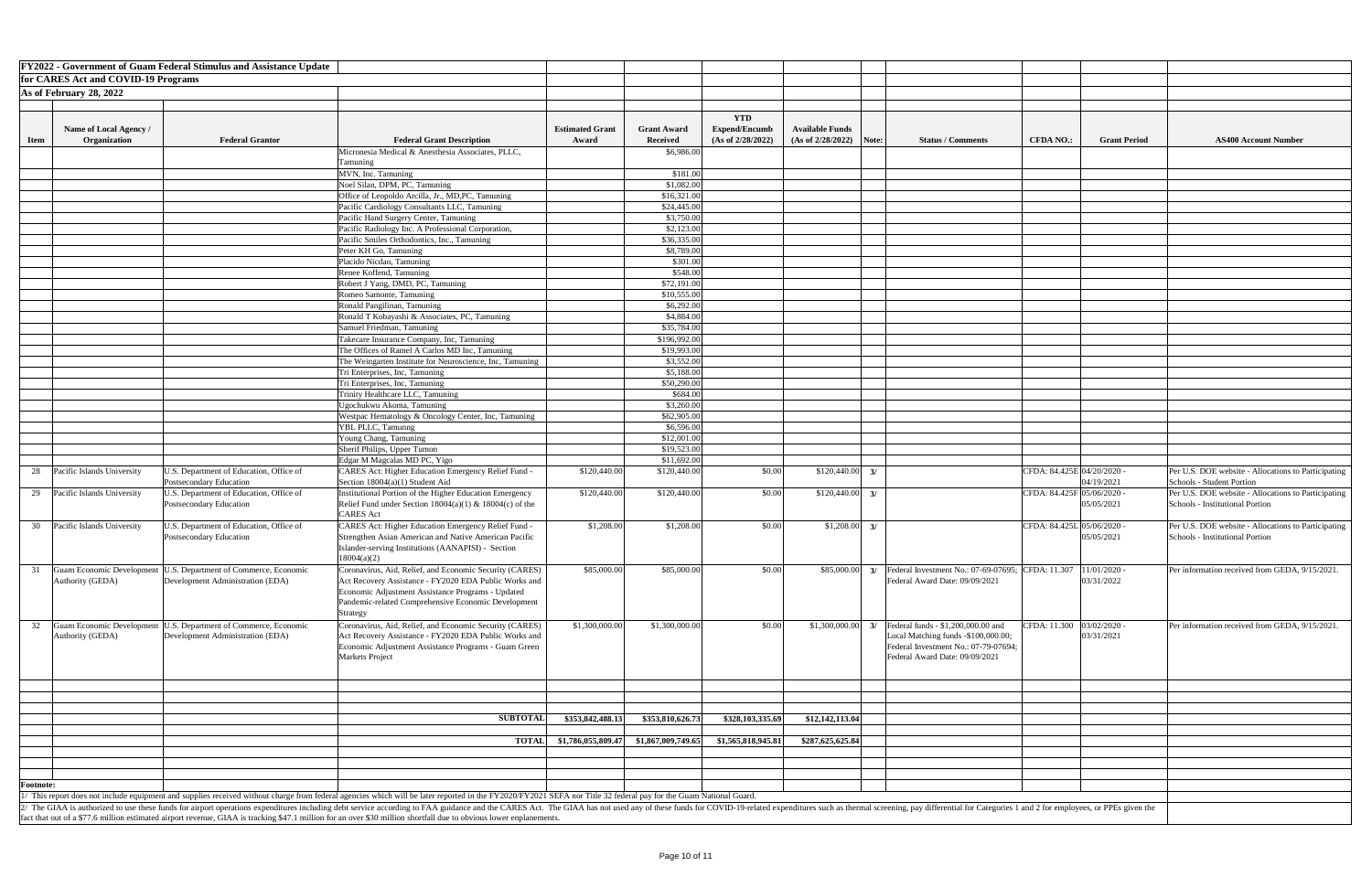|                  |                                     | <b>FY2022 - Government of Guam Federal Stimulus and Assistance Update</b> |                                                                                                                                                                                                                                |                        |                    |                      |                        |               |                                                                  |                  |                            |                                                     |
|------------------|-------------------------------------|---------------------------------------------------------------------------|--------------------------------------------------------------------------------------------------------------------------------------------------------------------------------------------------------------------------------|------------------------|--------------------|----------------------|------------------------|---------------|------------------------------------------------------------------|------------------|----------------------------|-----------------------------------------------------|
|                  | for CARES Act and COVID-19 Programs |                                                                           |                                                                                                                                                                                                                                |                        |                    |                      |                        |               |                                                                  |                  |                            |                                                     |
|                  | As of February 28, 2022             |                                                                           |                                                                                                                                                                                                                                |                        |                    |                      |                        |               |                                                                  |                  |                            |                                                     |
|                  |                                     |                                                                           |                                                                                                                                                                                                                                |                        |                    |                      |                        |               |                                                                  |                  |                            |                                                     |
|                  |                                     |                                                                           |                                                                                                                                                                                                                                |                        |                    |                      |                        |               |                                                                  |                  |                            |                                                     |
|                  |                                     |                                                                           |                                                                                                                                                                                                                                |                        |                    | <b>YTD</b>           |                        |               |                                                                  |                  |                            |                                                     |
|                  | <b>Name of Local Agency /</b>       |                                                                           |                                                                                                                                                                                                                                | <b>Estimated Grant</b> | <b>Grant Award</b> | <b>Expend/Encumb</b> | <b>Available Funds</b> |               |                                                                  |                  |                            |                                                     |
| <b>Item</b>      | Organization                        | <b>Federal Grantor</b>                                                    | <b>Federal Grant Description</b>                                                                                                                                                                                               | Award                  | <b>Received</b>    | (As of 2/28/2022)    | (As of 2/28/2022)      | Note:         | <b>Status / Comments</b>                                         | <b>CFDA NO.:</b> | <b>Grant Period</b>        | <b>AS400 Account Number</b>                         |
|                  |                                     |                                                                           | Micronesia Medical & Anesthesia Associates, PLLC,                                                                                                                                                                              |                        | \$6,986.00         |                      |                        |               |                                                                  |                  |                            |                                                     |
|                  |                                     |                                                                           | Tamuning                                                                                                                                                                                                                       |                        |                    |                      |                        |               |                                                                  |                  |                            |                                                     |
|                  |                                     |                                                                           | MVN, Inc. Tamuning                                                                                                                                                                                                             |                        | \$181.00           |                      |                        |               |                                                                  |                  |                            |                                                     |
|                  |                                     |                                                                           | Noel Silan, DPM, PC, Tamuning                                                                                                                                                                                                  |                        | \$1,082.00         |                      |                        |               |                                                                  |                  |                            |                                                     |
|                  |                                     |                                                                           | Office of Leopoldo Arcilla, Jr., MD, PC, Tamuning                                                                                                                                                                              |                        | \$16,321.00        |                      |                        |               |                                                                  |                  |                            |                                                     |
|                  |                                     |                                                                           | Pacific Cardiology Consultants LLC, Tamuning                                                                                                                                                                                   |                        | \$24,445.00        |                      |                        |               |                                                                  |                  |                            |                                                     |
|                  |                                     |                                                                           | Pacific Hand Surgery Center, Tamuning                                                                                                                                                                                          |                        | \$3,750.00         |                      |                        |               |                                                                  |                  |                            |                                                     |
|                  |                                     |                                                                           | Pacific Radiology Inc. A Professional Corporation,                                                                                                                                                                             |                        | \$2,123.00         |                      |                        |               |                                                                  |                  |                            |                                                     |
|                  |                                     |                                                                           |                                                                                                                                                                                                                                |                        |                    |                      |                        |               |                                                                  |                  |                            |                                                     |
|                  |                                     |                                                                           | Pacific Smiles Orthodontics, Inc., Tamuning                                                                                                                                                                                    |                        | \$36,335.00        |                      |                        |               |                                                                  |                  |                            |                                                     |
|                  |                                     |                                                                           | Peter KH Go, Tamuning                                                                                                                                                                                                          |                        | \$8,789.00         |                      |                        |               |                                                                  |                  |                            |                                                     |
|                  |                                     |                                                                           | Placido Nicdao, Tamuning                                                                                                                                                                                                       |                        | \$301.00           |                      |                        |               |                                                                  |                  |                            |                                                     |
|                  |                                     |                                                                           | Renee Koffend, Tamuning                                                                                                                                                                                                        |                        | \$548.00           |                      |                        |               |                                                                  |                  |                            |                                                     |
|                  |                                     |                                                                           | Robert J Yang, DMD, PC, Tamuning                                                                                                                                                                                               |                        | \$72,191.00        |                      |                        |               |                                                                  |                  |                            |                                                     |
|                  |                                     |                                                                           | Romeo Samonte, Tamuning                                                                                                                                                                                                        |                        | \$10,555.00        |                      |                        |               |                                                                  |                  |                            |                                                     |
|                  |                                     |                                                                           | Ronald Pangilinan, Tamuning                                                                                                                                                                                                    |                        | \$6,292.00         |                      |                        |               |                                                                  |                  |                            |                                                     |
|                  |                                     |                                                                           | Ronald T Kobayashi & Associates, PC, Tamuning                                                                                                                                                                                  |                        | \$4,884.00         |                      |                        |               |                                                                  |                  |                            |                                                     |
|                  |                                     |                                                                           | Samuel Friedman, Tamuning                                                                                                                                                                                                      |                        | \$35,784.00        |                      |                        |               |                                                                  |                  |                            |                                                     |
|                  |                                     |                                                                           | Takecare Insurance Company, Inc, Tamuning                                                                                                                                                                                      |                        | \$196,992.00       |                      |                        |               |                                                                  |                  |                            |                                                     |
|                  |                                     |                                                                           | The Offices of Ramel A Carlos MD Inc, Tamuning                                                                                                                                                                                 |                        | \$19,993.00        |                      |                        |               |                                                                  |                  |                            |                                                     |
|                  |                                     |                                                                           | The Weingarten Institute for Neuroscience, Inc, Tamuning                                                                                                                                                                       |                        | \$3,552.00         |                      |                        |               |                                                                  |                  |                            |                                                     |
|                  |                                     |                                                                           | Tri Enterprises, Inc, Tamuning                                                                                                                                                                                                 |                        | \$5,188.00         |                      |                        |               |                                                                  |                  |                            |                                                     |
|                  |                                     |                                                                           | Tri Enterprises, Inc, Tamuning                                                                                                                                                                                                 |                        | \$50,290.00        |                      |                        |               |                                                                  |                  |                            |                                                     |
|                  |                                     |                                                                           | Trinity Healthcare LLC, Tamuning                                                                                                                                                                                               |                        | \$684.00           |                      |                        |               |                                                                  |                  |                            |                                                     |
|                  |                                     |                                                                           | Jgochukwu Akoma, Tamuning                                                                                                                                                                                                      |                        | \$3,260.00         |                      |                        |               |                                                                  |                  |                            |                                                     |
|                  |                                     |                                                                           | Westpac Hematology & Oncology Center, Inc, Tamuning                                                                                                                                                                            |                        | \$62,905.00        |                      |                        |               |                                                                  |                  |                            |                                                     |
|                  |                                     |                                                                           | YBL PLLC, Tamunng                                                                                                                                                                                                              |                        | \$6,596.00         |                      |                        |               |                                                                  |                  |                            |                                                     |
|                  |                                     |                                                                           | Young Chang, Tamuning                                                                                                                                                                                                          |                        | \$12,001.00        |                      |                        |               |                                                                  |                  |                            |                                                     |
|                  |                                     |                                                                           | Sherif Philips, Upper Tumon                                                                                                                                                                                                    |                        | \$19,523.00        |                      |                        |               |                                                                  |                  |                            |                                                     |
|                  |                                     |                                                                           | Edgar M Magcalas MD PC, Yigo                                                                                                                                                                                                   |                        | \$11,692.00        |                      |                        |               |                                                                  |                  |                            |                                                     |
|                  | Pacific Islands University          | U.S. Department of Education, Office of                                   | <b>CARES Act: Higher Education Emergency Relief Fund -</b>                                                                                                                                                                     | \$120,440.00           | \$120,440.00       | \$0.00               | \$120,440.00           | 3/            |                                                                  |                  | CFDA: 84.425E 04/20/2020 - | Per U.S. DOE website - Allocations to Participating |
| 28               |                                     | Postsecondary Education                                                   | Section 18004(a)(1) Student Aid                                                                                                                                                                                                |                        |                    |                      |                        |               |                                                                  |                  | 04/19/2021                 | Schools - Student Portion                           |
|                  |                                     |                                                                           |                                                                                                                                                                                                                                |                        |                    |                      |                        | $\frac{3}{2}$ |                                                                  |                  |                            |                                                     |
|                  | 29 Pacific Islands University       | U.S. Department of Education, Office of                                   | Institutional Portion of the Higher Education Emergency                                                                                                                                                                        | \$120,440.00           | \$120,440.00       | \$0.00               | \$120,440.00           |               |                                                                  |                  | CFDA: 84.425F 05/06/2020 - | Per U.S. DOE website - Allocations to Participating |
|                  |                                     | Postsecondary Education                                                   | Relief Fund under Section $18004(a)(1)$ & $18004(c)$ of the                                                                                                                                                                    |                        |                    |                      |                        |               |                                                                  |                  | 05/05/2021                 | Schools - Institutional Portion                     |
|                  |                                     |                                                                           | CARES Act                                                                                                                                                                                                                      |                        |                    |                      |                        |               |                                                                  |                  |                            |                                                     |
| 30               | Pacific Islands University          | U.S. Department of Education, Office of                                   | <b>CARES Act: Higher Education Emergency Relief Fund -</b>                                                                                                                                                                     | \$1,208.00             | \$1,208.00         | \$0.00               | \$1,208.00             | 3/            |                                                                  |                  | CFDA: 84.425L 05/06/2020 - | Per U.S. DOE website - Allocations to Participating |
|                  |                                     | Postsecondary Education                                                   | Strengthen Asian American and Native American Pacific                                                                                                                                                                          |                        |                    |                      |                        |               |                                                                  |                  | 05/05/2021                 | Schools - Institutional Portion                     |
|                  |                                     |                                                                           | Islander-serving Institutions (AANAPISI) - Section                                                                                                                                                                             |                        |                    |                      |                        |               |                                                                  |                  |                            |                                                     |
|                  |                                     |                                                                           | 18004(a)(2)                                                                                                                                                                                                                    |                        |                    |                      |                        |               |                                                                  |                  |                            |                                                     |
|                  | <b>Guam Economic Development</b>    | U.S. Department of Commerce, Economic                                     | Coronavirus, Aid, Relief, and Economic Security (CARES)                                                                                                                                                                        | \$85,000.00            | \$85,000.00        | \$0.00               | \$85,000.00            |               | Federal Investment No.: 07-69-07695; CFDA: 11.307   11/01/2020 - |                  |                            | Per information received from GEDA, 9/15/2021.      |
|                  | Authority (GEDA)                    | Development Administration (EDA)                                          | Act Recovery Assistance - FY2020 EDA Public Works and                                                                                                                                                                          |                        |                    |                      |                        |               | Federal Award Date: 09/09/2021                                   |                  | 03/31/2022                 |                                                     |
|                  |                                     |                                                                           | Economic Adjustment Assistance Programs - Updated                                                                                                                                                                              |                        |                    |                      |                        |               |                                                                  |                  |                            |                                                     |
|                  |                                     |                                                                           | Pandemic-related Comprehensive Economic Development                                                                                                                                                                            |                        |                    |                      |                        |               |                                                                  |                  |                            |                                                     |
|                  |                                     |                                                                           | Strategy                                                                                                                                                                                                                       |                        |                    |                      |                        |               |                                                                  |                  |                            |                                                     |
| 32               |                                     | Guam Economic Development   U.S. Department of Commerce, Economic         | Coronavirus, Aid, Relief, and Economic Security (CARES)                                                                                                                                                                        | \$1,300,000.00         | \$1,300,000.00     | \$0.00               | \$1,300,000.00         |               | Federal funds - \$1,200,000.00 and                               |                  | CFDA: 11.300 03/02/2020 -  | Per information received from GEDA, 9/15/2021.      |
|                  | Authority (GEDA)                    | Development Administration (EDA)                                          | Act Recovery Assistance - FY2020 EDA Public Works and                                                                                                                                                                          |                        |                    |                      |                        |               | Local Matching funds -\$100,000.00;                              |                  | 03/31/2021                 |                                                     |
|                  |                                     |                                                                           | Economic Adjustment Assistance Programs - Guam Green                                                                                                                                                                           |                        |                    |                      |                        |               | Federal Investment No.: 07-79-07694;                             |                  |                            |                                                     |
|                  |                                     |                                                                           | Markets Project                                                                                                                                                                                                                |                        |                    |                      |                        |               | Federal Award Date: 09/09/2021                                   |                  |                            |                                                     |
|                  |                                     |                                                                           |                                                                                                                                                                                                                                |                        |                    |                      |                        |               |                                                                  |                  |                            |                                                     |
|                  |                                     |                                                                           |                                                                                                                                                                                                                                |                        |                    |                      |                        |               |                                                                  |                  |                            |                                                     |
|                  |                                     |                                                                           |                                                                                                                                                                                                                                |                        |                    |                      |                        |               |                                                                  |                  |                            |                                                     |
|                  |                                     |                                                                           |                                                                                                                                                                                                                                |                        |                    |                      |                        |               |                                                                  |                  |                            |                                                     |
|                  |                                     |                                                                           |                                                                                                                                                                                                                                |                        |                    |                      |                        |               |                                                                  |                  |                            |                                                     |
|                  |                                     |                                                                           | <b>SUBTOTAI</b>                                                                                                                                                                                                                | \$353,842,488.13       | \$353,810,626.73   | \$328,103,335.69     | \$12,142,113.04        |               |                                                                  |                  |                            |                                                     |
|                  |                                     |                                                                           |                                                                                                                                                                                                                                |                        |                    |                      |                        |               |                                                                  |                  |                            |                                                     |
|                  |                                     |                                                                           | <b>TOTAL</b>                                                                                                                                                                                                                   | \$1,786,055,809.47     | \$1,867,009,749.65 | \$1,565,818,945.81   | \$287,625,625.84       |               |                                                                  |                  |                            |                                                     |
|                  |                                     |                                                                           |                                                                                                                                                                                                                                |                        |                    |                      |                        |               |                                                                  |                  |                            |                                                     |
|                  |                                     |                                                                           |                                                                                                                                                                                                                                |                        |                    |                      |                        |               |                                                                  |                  |                            |                                                     |
|                  |                                     |                                                                           |                                                                                                                                                                                                                                |                        |                    |                      |                        |               |                                                                  |                  |                            |                                                     |
| <b>Footnote:</b> |                                     |                                                                           |                                                                                                                                                                                                                                |                        |                    |                      |                        |               |                                                                  |                  |                            |                                                     |
|                  |                                     |                                                                           | 1/ This report does not include equipment and supplies received without charge from federal agencies which will be later reported in the FY2020/FY2021 SEFA nor Title 32 federal pay for the Guam National Guard.              |                        |                    |                      |                        |               |                                                                  |                  |                            |                                                     |
|                  |                                     |                                                                           | The GIAA is authorized to use these funds for airport operations expenditures including debt service according to FAA guidance and the CARES Act. The GIAA has not used any of these funds for COVID-19-related expenditures s |                        |                    |                      |                        |               |                                                                  |                  |                            |                                                     |
|                  |                                     |                                                                           | fact that out of a \$77.6 million estimated airport revenue, GIAA is tracking \$47.1 million for an over \$30 million shortfall due to obvious lower enplanements.                                                             |                        |                    |                      |                        |               |                                                                  |                  |                            |                                                     |

| <b>Number</b>           |
|-------------------------|
|                         |
|                         |
|                         |
|                         |
|                         |
|                         |
|                         |
|                         |
|                         |
|                         |
|                         |
|                         |
|                         |
|                         |
|                         |
|                         |
|                         |
|                         |
|                         |
|                         |
|                         |
|                         |
|                         |
|                         |
| ations to Participating |
| ations to Participating |
| ations to Participating |
| GEDA, 9/15/2021.        |
|                         |
| GEDA, 9/15/2021.        |
|                         |
|                         |
|                         |
|                         |
|                         |
|                         |
|                         |
|                         |
|                         |
|                         |
|                         |
|                         |
|                         |